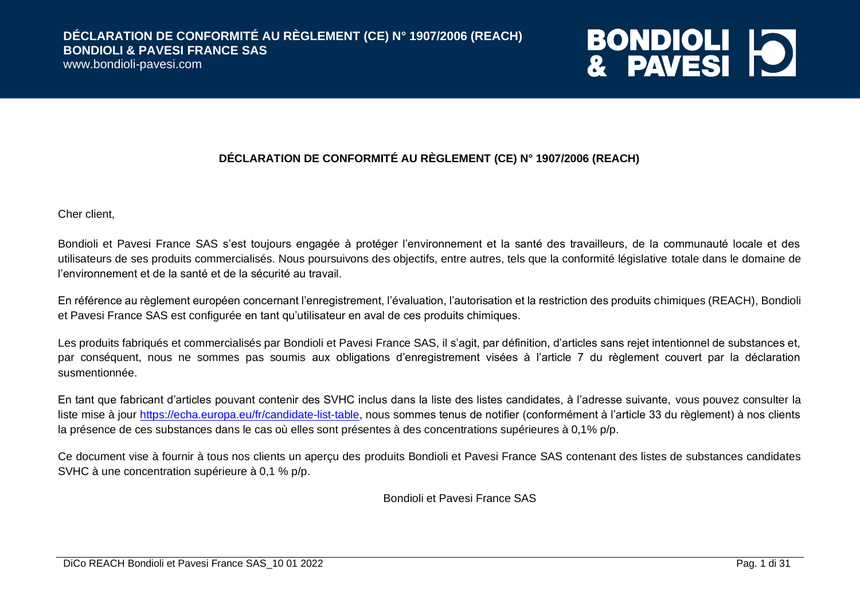www.bondioli-pavesi.com

## **BONDIOLI 10**

#### **DÉCLARATION DE CONFORMITÉ AU RÈGLEMENT (CE) N° 1907/2006 (REACH)**

Cher client,

Bondioli et Pavesi France SAS s'est toujours engagée à protéger l'environnement et la santé des travailleurs, de la communauté locale et des utilisateurs de ses produits commercialisés. Nous poursuivons des objectifs, entre autres, tels que la conformité législative totale dans le domaine de l'environnement et de la santé et de la sécurité au travail.

En référence au règlement européen concernant l'enregistrement, l'évaluation, l'autorisation et la restriction des produits chimiques (REACH), Bondioli et Pavesi France SAS est configurée en tant qu'utilisateur en aval de ces produits chimiques.

Les produits fabriqués et commercialisés par Bondioli et Pavesi France SAS, il s'agit, par définition, d'articles sans rejet intentionnel de substances et, par conséquent, nous ne sommes pas soumis aux obligations d'enregistrement visées à l'article 7 du règlement couvert par la déclaration susmentionnée.

En tant que fabricant d'articles pouvant contenir des SVHC inclus dans la liste des listes candidates, à l'adresse suivante, vous pouvez consulter la liste mise à jour [https://echa.europa.eu/fr/candidate-list-table,](https://echa.europa.eu/fr/candidate-list-table) nous sommes tenus de notifier (conformément à l'article 33 du règlement) à nos clients la présence de ces substances dans le cas où elles sont présentes à des concentrations supérieures à 0,1% p/p.

Ce document vise à fournir à tous nos clients un aperçu des produits Bondioli et Pavesi France SAS contenant des listes de substances candidates SVHC à une concentration supérieure à 0,1 % p/p.

Bondioli et Pavesi France SAS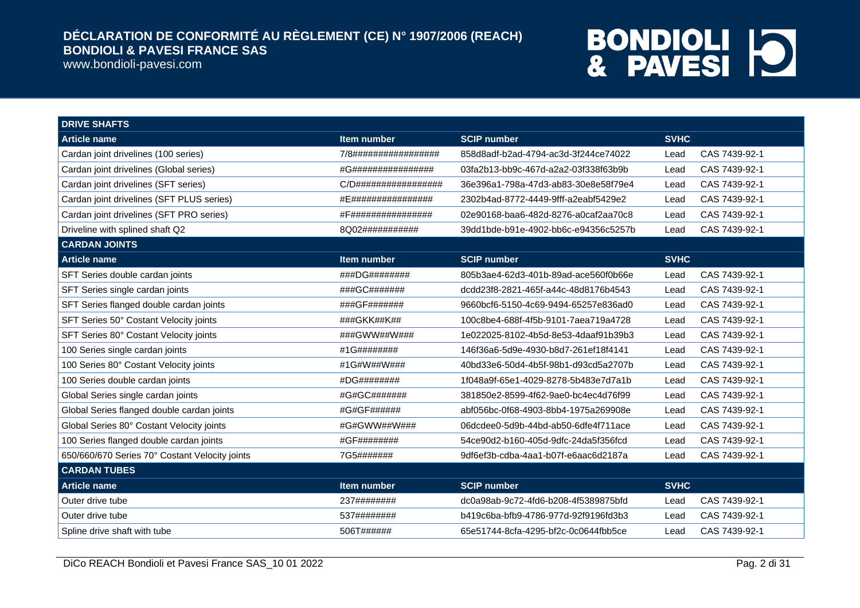www.bondioli-pavesi.com

| <b>DRIVE SHAFTS</b>                            |                          |                                      |                       |
|------------------------------------------------|--------------------------|--------------------------------------|-----------------------|
| <b>Article name</b>                            | Item number              | <b>SCIP number</b>                   | <b>SVHC</b>           |
| Cardan joint drivelines (100 series)           | 7/8#################     | 858d8adf-b2ad-4794-ac3d-3f244ce74022 | CAS 7439-92-1<br>Lead |
| Cardan joint drivelines (Global series)        | #G################       | 03fa2b13-bb9c-467d-a2a2-03f338f63b9b | CAS 7439-92-1<br>Lead |
| Cardan joint drivelines (SFT series)           | $C/D$ ################## | 36e396a1-798a-47d3-ab83-30e8e58f79e4 | CAS 7439-92-1<br>Lead |
| Cardan joint drivelines (SFT PLUS series)      | #E################       | 2302b4ad-8772-4449-9fff-a2eabf5429e2 | CAS 7439-92-1<br>Lead |
| Cardan joint drivelines (SFT PRO series)       | #F###############        | 02e90168-baa6-482d-8276-a0caf2aa70c8 | CAS 7439-92-1<br>Lead |
| Driveline with splined shaft Q2                | 8Q02###########          | 39dd1bde-b91e-4902-bb6c-e94356c5257b | CAS 7439-92-1<br>Lead |
| <b>CARDAN JOINTS</b>                           |                          |                                      |                       |
| <b>Article name</b>                            | <b>Item number</b>       | <b>SCIP number</b>                   | <b>SVHC</b>           |
| SFT Series double cardan joints                | ###DG########            | 805b3ae4-62d3-401b-89ad-ace560f0b66e | CAS 7439-92-1<br>Lead |
| SFT Series single cardan joints                | ###GC#######             | dcdd23f8-2821-465f-a44c-48d8176b4543 | CAS 7439-92-1<br>Lead |
| SFT Series flanged double cardan joints        | ###GF#######             | 9660bcf6-5150-4c69-9494-65257e836ad0 | CAS 7439-92-1<br>Lead |
| SFT Series 50° Costant Velocity joints         | ###GKK##K##              | 100c8be4-688f-4f5b-9101-7aea719a4728 | CAS 7439-92-1<br>Lead |
| SFT Series 80° Costant Velocity joints         | ###GWW##W###             | 1e022025-8102-4b5d-8e53-4daaf91b39b3 | CAS 7439-92-1<br>Lead |
| 100 Series single cardan joints                | #1G########              | 146f36a6-5d9e-4930-b8d7-261ef18f4141 | CAS 7439-92-1<br>Lead |
| 100 Series 80° Costant Velocity joints         | #1G#W##W###              | 40bd33e6-50d4-4b5f-98b1-d93cd5a2707b | CAS 7439-92-1<br>Lead |
| 100 Series double cardan joints                | #DG########              | 1f048a9f-65e1-4029-8278-5b483e7d7a1b | CAS 7439-92-1<br>Lead |
| Global Series single cardan joints             | #G#GC#######             | 381850e2-8599-4f62-9ae0-bc4ec4d76f99 | CAS 7439-92-1<br>Lead |
| Global Series flanged double cardan joints     | #G#GF######              | abf056bc-0f68-4903-8bb4-1975a269908e | CAS 7439-92-1<br>Lead |
| Global Series 80° Costant Velocity joints      | #G#GWW##W###             | 06dcdee0-5d9b-44bd-ab50-6dfe4f711ace | CAS 7439-92-1<br>Lead |
| 100 Series flanged double cardan joints        | #GF########              | 54ce90d2-b160-405d-9dfc-24da5f356fcd | CAS 7439-92-1<br>Lead |
| 650/660/670 Series 70° Costant Velocity joints | 7G5#######               | 9df6ef3b-cdba-4aa1-b07f-e6aac6d2187a | CAS 7439-92-1<br>Lead |
| <b>CARDAN TUBES</b>                            |                          |                                      |                       |
| <b>Article name</b>                            | Item number              | <b>SCIP number</b>                   | <b>SVHC</b>           |
| Outer drive tube                               | 237########              | dc0a98ab-9c72-4fd6-b208-4f5389875bfd | CAS 7439-92-1<br>Lead |
| Outer drive tube                               | 537########              | b419c6ba-bfb9-4786-977d-92f9196fd3b3 | CAS 7439-92-1<br>Lead |
| Spline drive shaft with tube                   | 506T######               | 65e51744-8cfa-4295-bf2c-0c0644fbb5ce | CAS 7439-92-1<br>Lead |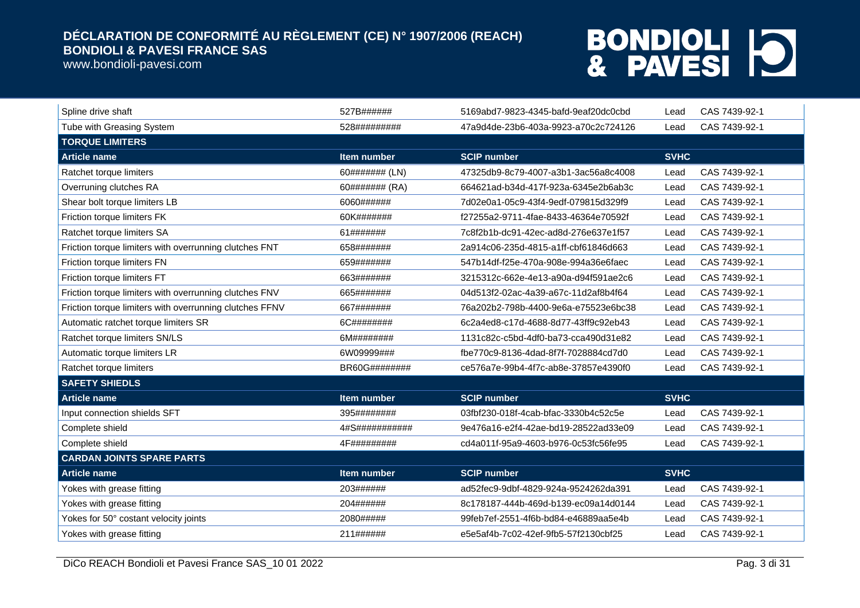www.bondioli-pavesi.com

| Spline drive shaft                                      | 527B######         | 5169abd7-9823-4345-bafd-9eaf20dc0cbd | Lead        | CAS 7439-92-1 |
|---------------------------------------------------------|--------------------|--------------------------------------|-------------|---------------|
| Tube with Greasing System                               | 528#########       | 47a9d4de-23b6-403a-9923-a70c2c724126 | Lead        | CAS 7439-92-1 |
| <b>TORQUE LIMITERS</b>                                  |                    |                                      |             |               |
| <b>Article name</b>                                     | Item number        | <b>SCIP number</b>                   | <b>SVHC</b> |               |
| Ratchet torque limiters                                 | 60####### (LN)     | 47325db9-8c79-4007-a3b1-3ac56a8c4008 | Lead        | CAS 7439-92-1 |
| Overruning clutches RA                                  | 60####### (RA)     | 664621ad-b34d-417f-923a-6345e2b6ab3c | Lead        | CAS 7439-92-1 |
| Shear bolt torque limiters LB                           | 6060######         | 7d02e0a1-05c9-43f4-9edf-079815d329f9 | Lead        | CAS 7439-92-1 |
| Friction torque limiters FK                             | 60K#######         | f27255a2-9711-4fae-8433-46364e70592f | Lead        | CAS 7439-92-1 |
| Ratchet torque limiters SA                              | 61#######          | 7c8f2b1b-dc91-42ec-ad8d-276e637e1f57 | Lead        | CAS 7439-92-1 |
| Friction torque limiters with overrunning clutches FNT  | 658#######         | 2a914c06-235d-4815-a1ff-cbf61846d663 | Lead        | CAS 7439-92-1 |
| Friction torque limiters FN                             | 659#######         | 547b14df-f25e-470a-908e-994a36e6faec | Lead        | CAS 7439-92-1 |
| Friction torque limiters FT                             | 663#######         | 3215312c-662e-4e13-a90a-d94f591ae2c6 | Lead        | CAS 7439-92-1 |
| Friction torque limiters with overrunning clutches FNV  | 665#######         | 04d513f2-02ac-4a39-a67c-11d2af8b4f64 | Lead        | CAS 7439-92-1 |
| Friction torque limiters with overrunning clutches FFNV | 667#######         | 76a202b2-798b-4400-9e6a-e75523e6bc38 | Lead        | CAS 7439-92-1 |
| Automatic ratchet torque limiters SR                    | 6C########         | 6c2a4ed8-c17d-4688-8d77-43ff9c92eb43 | Lead        | CAS 7439-92-1 |
| Ratchet torque limiters SN/LS                           | 6M########         | 1131c82c-c5bd-4df0-ba73-cca490d31e82 | Lead        | CAS 7439-92-1 |
| Automatic torque limiters LR                            | 6W09999###         | fbe770c9-8136-4dad-8f7f-7028884cd7d0 | Lead        | CAS 7439-92-1 |
| Ratchet torque limiters                                 | BR60G########      | ce576a7e-99b4-4f7c-ab8e-37857e4390f0 | Lead        | CAS 7439-92-1 |
| <b>SAFETY SHIEDLS</b>                                   |                    |                                      |             |               |
| <b>Article name</b>                                     | Item number        | <b>SCIP number</b>                   | <b>SVHC</b> |               |
| Input connection shields SFT                            | 395########        | 03fbf230-018f-4cab-bfac-3330b4c52c5e | Lead        | CAS 7439-92-1 |
| Complete shield                                         | 4#S###########     | 9e476a16-e2f4-42ae-bd19-28522ad33e09 | Lead        | CAS 7439-92-1 |
| Complete shield                                         | <b>4F#########</b> | cd4a011f-95a9-4603-b976-0c53fc56fe95 | Lead        | CAS 7439-92-1 |
| <b>CARDAN JOINTS SPARE PARTS</b>                        |                    |                                      |             |               |
| <b>Article name</b>                                     | <b>Item number</b> | <b>SCIP number</b>                   | <b>SVHC</b> |               |
| Yokes with grease fitting                               | 203######          | ad52fec9-9dbf-4829-924a-9524262da391 | Lead        | CAS 7439-92-1 |
| Yokes with grease fitting                               | 204######          | 8c178187-444b-469d-b139-ec09a14d0144 | Lead        | CAS 7439-92-1 |
| Yokes for 50° costant velocity joints                   | 2080#####          | 99feb7ef-2551-4f6b-bd84-e46889aa5e4b | Lead        | CAS 7439-92-1 |
| Yokes with grease fitting                               | 211######          | e5e5af4b-7c02-42ef-9fb5-57f2130cbf25 | Lead        | CAS 7439-92-1 |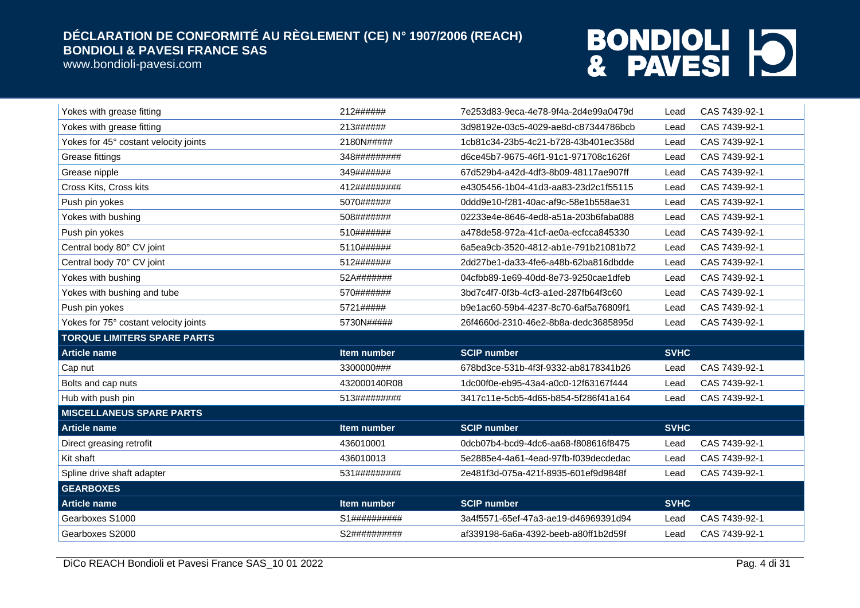www.bondioli-pavesi.com

| Yokes with grease fitting             | 212######    | 7e253d83-9eca-4e78-9f4a-2d4e99a0479d | Lead        | CAS 7439-92-1 |
|---------------------------------------|--------------|--------------------------------------|-------------|---------------|
| Yokes with grease fitting             | 213######    | 3d98192e-03c5-4029-ae8d-c87344786bcb | Lead        | CAS 7439-92-1 |
| Yokes for 45° costant velocity joints | 2180N#####   | 1cb81c34-23b5-4c21-b728-43b401ec358d | Lead        | CAS 7439-92-1 |
| Grease fittings                       | 348######### | d6ce45b7-9675-46f1-91c1-971708c1626f | Lead        | CAS 7439-92-1 |
| Grease nipple                         | 349#######   | 67d529b4-a42d-4df3-8b09-48117ae907ff | Lead        | CAS 7439-92-1 |
| Cross Kits, Cross kits                | 412######### | e4305456-1b04-41d3-aa83-23d2c1f55115 | Lead        | CAS 7439-92-1 |
| Push pin yokes                        | 5070######   | 0ddd9e10-f281-40ac-af9c-58e1b558ae31 | Lead        | CAS 7439-92-1 |
| Yokes with bushing                    | 508#######   | 02233e4e-8646-4ed8-a51a-203b6faba088 | Lead        | CAS 7439-92-1 |
| Push pin yokes                        | 510#######   | a478de58-972a-41cf-ae0a-ecfcca845330 | Lead        | CAS 7439-92-1 |
| Central body 80° CV joint             | 5110######   | 6a5ea9cb-3520-4812-ab1e-791b21081b72 | Lead        | CAS 7439-92-1 |
| Central body 70° CV joint             | 512#######   | 2dd27be1-da33-4fe6-a48b-62ba816dbdde | Lead        | CAS 7439-92-1 |
| Yokes with bushing                    | 52A#######   | 04cfbb89-1e69-40dd-8e73-9250cae1dfeb | Lead        | CAS 7439-92-1 |
| Yokes with bushing and tube           | 570#######   | 3bd7c4f7-0f3b-4cf3-a1ed-287fb64f3c60 | Lead        | CAS 7439-92-1 |
| Push pin yokes                        | 5721#####    | b9e1ac60-59b4-4237-8c70-6af5a76809f1 | Lead        | CAS 7439-92-1 |
|                                       |              |                                      |             |               |
| Yokes for 75° costant velocity joints | 5730N#####   | 26f4660d-2310-46e2-8b8a-dedc3685895d | Lead        | CAS 7439-92-1 |
| <b>TORQUE LIMITERS SPARE PARTS</b>    |              |                                      |             |               |
| <b>Article name</b>                   | Item number  | <b>SCIP number</b>                   | <b>SVHC</b> |               |
| Cap nut                               | 3300000###   | 678bd3ce-531b-4f3f-9332-ab8178341b26 | Lead        | CAS 7439-92-1 |
| Bolts and cap nuts                    | 432000140R08 | 1dc00f0e-eb95-43a4-a0c0-12f63167f444 | Lead        | CAS 7439-92-1 |
| Hub with push pin                     | 513######### | 3417c11e-5cb5-4d65-b854-5f286f41a164 | Lead        | CAS 7439-92-1 |
| <b>MISCELLANEUS SPARE PARTS</b>       |              |                                      |             |               |
| <b>Article name</b>                   | Item number  | <b>SCIP number</b>                   | <b>SVHC</b> |               |
| Direct greasing retrofit              | 436010001    | 0dcb07b4-bcd9-4dc6-aa68-f808616f8475 | Lead        | CAS 7439-92-1 |
| Kit shaft                             | 436010013    | 5e2885e4-4a61-4ead-97fb-f039decdedac | Lead        | CAS 7439-92-1 |
| Spline drive shaft adapter            | 531######### | 2e481f3d-075a-421f-8935-601ef9d9848f | Lead        | CAS 7439-92-1 |
| <b>GEARBOXES</b>                      |              |                                      |             |               |
| <b>Article name</b>                   | Item number  | <b>SCIP number</b>                   | <b>SVHC</b> |               |
| Gearboxes S1000                       | S1########## | 3a4f5571-65ef-47a3-ae19-d46969391d94 | Lead        | CAS 7439-92-1 |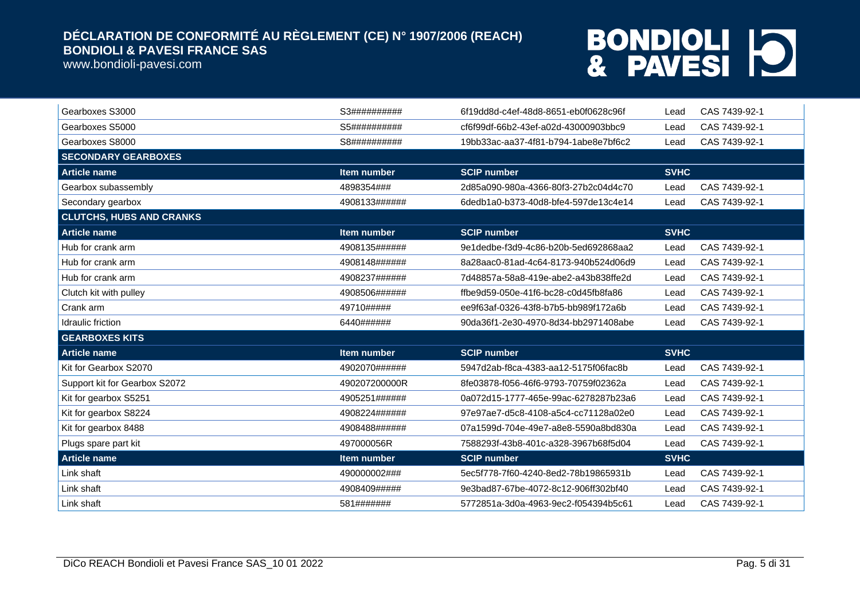www.bondioli-pavesi.com

| Gearboxes S3000                 | S3##########       | 6f19dd8d-c4ef-48d8-8651-eb0f0628c96f | CAS 7439-92-1<br>Lead |
|---------------------------------|--------------------|--------------------------------------|-----------------------|
| Gearboxes S5000                 | S5##########       | cf6f99df-66b2-43ef-a02d-43000903bbc9 | CAS 7439-92-1<br>Lead |
| Gearboxes S8000                 | S8##########       | 19bb33ac-aa37-4f81-b794-1abe8e7bf6c2 | CAS 7439-92-1<br>Lead |
| <b>SECONDARY GEARBOXES</b>      |                    |                                      |                       |
| <b>Article name</b>             | Item number        | <b>SCIP number</b>                   | <b>SVHC</b>           |
| Gearbox subassembly             | 4898354###         | 2d85a090-980a-4366-80f3-27b2c04d4c70 | CAS 7439-92-1<br>Lead |
| Secondary gearbox               | 4908133######      | 6dedb1a0-b373-40d8-bfe4-597de13c4e14 | CAS 7439-92-1<br>Lead |
| <b>CLUTCHS, HUBS AND CRANKS</b> |                    |                                      |                       |
| <b>Article name</b>             | <b>Item number</b> | <b>SCIP number</b>                   | <b>SVHC</b>           |
| Hub for crank arm               | 4908135######      | 9e1dedbe-f3d9-4c86-b20b-5ed692868aa2 | CAS 7439-92-1<br>Lead |
| Hub for crank arm               | 4908148######      | 8a28aac0-81ad-4c64-8173-940b524d06d9 | CAS 7439-92-1<br>Lead |
| Hub for crank arm               | 4908237######      | 7d48857a-58a8-419e-abe2-a43b838ffe2d | CAS 7439-92-1<br>Lead |
| Clutch kit with pulley          | 4908506######      | ffbe9d59-050e-41f6-bc28-c0d45fb8fa86 | CAS 7439-92-1<br>Lead |
| Crank arm                       | 49710#####         | ee9f63af-0326-43f8-b7b5-bb989f172a6b | CAS 7439-92-1<br>Lead |
| Idraulic friction               | 6440######         | 90da36f1-2e30-4970-8d34-bb2971408abe | CAS 7439-92-1<br>Lead |
| <b>GEARBOXES KITS</b>           |                    |                                      |                       |
| <b>Article name</b>             | <b>Item number</b> | <b>SCIP number</b>                   | <b>SVHC</b>           |
| Kit for Gearbox S2070           | 4902070######      | 5947d2ab-f8ca-4383-aa12-5175f06fac8b | CAS 7439-92-1<br>Lead |
| Support kit for Gearbox S2072   | 490207200000R      | 8fe03878-f056-46f6-9793-70759f02362a | CAS 7439-92-1<br>Lead |
| Kit for gearbox S5251           | 4905251######      | 0a072d15-1777-465e-99ac-6278287b23a6 | CAS 7439-92-1<br>Lead |
| Kit for gearbox S8224           | 4908224######      | 97e97ae7-d5c8-4108-a5c4-cc71128a02e0 | CAS 7439-92-1<br>Lead |
| Kit for gearbox 8488            | 4908488######      | 07a1599d-704e-49e7-a8e8-5590a8bd830a | CAS 7439-92-1<br>Lead |
| Plugs spare part kit            | 497000056R         | 7588293f-43b8-401c-a328-3967b68f5d04 | CAS 7439-92-1<br>Lead |
| <b>Article name</b>             | Item number        | <b>SCIP number</b>                   | <b>SVHC</b>           |
| Link shaft                      | 490000002###       | 5ec5f778-7f60-4240-8ed2-78b19865931b | CAS 7439-92-1<br>Lead |
| Link shaft                      | 4908409#####       | 9e3bad87-67be-4072-8c12-906ff302bf40 | CAS 7439-92-1<br>Lead |
| Link shaft                      | 581#######         | 5772851a-3d0a-4963-9ec2-f054394b5c61 | CAS 7439-92-1<br>Lead |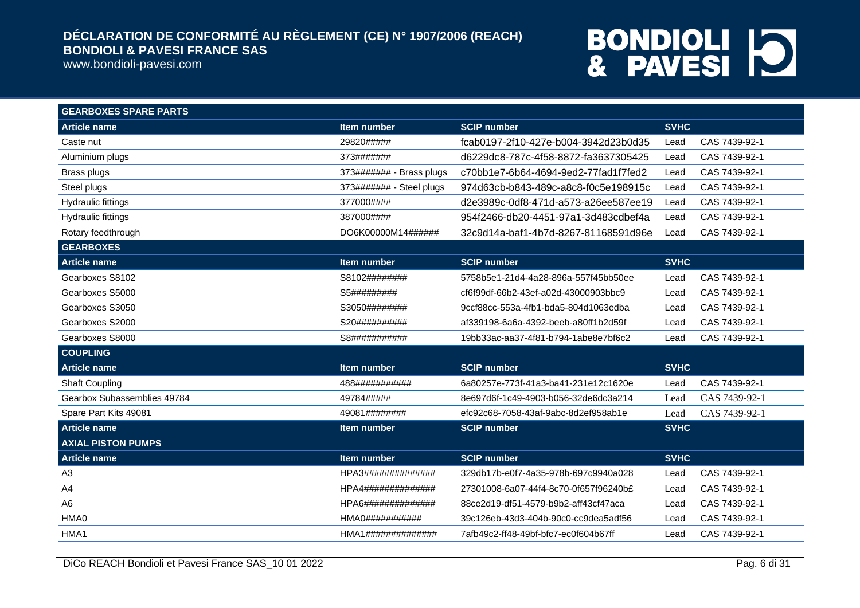www.bondioli-pavesi.com

| <b>GEARBOXES SPARE PARTS</b> |                                |                                       |                       |
|------------------------------|--------------------------------|---------------------------------------|-----------------------|
| <b>Article name</b>          | Item number                    | <b>SCIP number</b>                    | <b>SVHC</b>           |
| Caste nut                    | 29820#####                     | fcab0197-2f10-427e-b004-3942d23b0d35  | CAS 7439-92-1<br>Lead |
| Aluminium plugs              | 373#######                     | d6229dc8-787c-4f58-8872-fa3637305425  | CAS 7439-92-1<br>Lead |
| Brass plugs                  | 373####### - Brass plugs       | c70bb1e7-6b64-4694-9ed2-77fad1f7fed2  | CAS 7439-92-1<br>Lead |
| Steel plugs                  | 373####### - Steel plugs       | 974d63cb-b843-489c-a8c8-f0c5e198915c  | CAS 7439-92-1<br>Lead |
| <b>Hydraulic fittings</b>    | 377000####                     | d2e3989c-0df8-471d-a573-a26ee587ee19  | CAS 7439-92-1<br>Lead |
| <b>Hydraulic fittings</b>    | 387000####                     | 954f2466-db20-4451-97a1-3d483cdbef4a  | CAS 7439-92-1<br>Lead |
| Rotary feedthrough           | DO6K00000M14######             | 32c9d14a-baf1-4b7d-8267-81168591d96e  | CAS 7439-92-1<br>Lead |
| <b>GEARBOXES</b>             |                                |                                       |                       |
| <b>Article name</b>          | Item number                    | <b>SCIP number</b>                    | <b>SVHC</b>           |
| Gearboxes S8102              | S8102########                  | 5758b5e1-21d4-4a28-896a-557f45bb50ee  | CAS 7439-92-1<br>Lead |
| Gearboxes S5000              | S5#########                    | cf6f99df-66b2-43ef-a02d-43000903bbc9  | CAS 7439-92-1<br>Lead |
| Gearboxes S3050              | S3050########                  | 9ccf88cc-553a-4fb1-bda5-804d1063edba  | CAS 7439-92-1<br>Lead |
| Gearboxes S2000              | S20##########                  | af339198-6a6a-4392-beeb-a80ff1b2d59f  | CAS 7439-92-1<br>Lead |
| Gearboxes S8000              | S8###########                  | 19bb33ac-aa37-4f81-b794-1abe8e7bf6c2  | CAS 7439-92-1<br>Lead |
| <b>COUPLING</b>              |                                |                                       |                       |
| <b>Article name</b>          | Item number                    | <b>SCIP number</b>                    | <b>SVHC</b>           |
| <b>Shaft Coupling</b>        | 488###########                 | 6a80257e-773f-41a3-ba41-231e12c1620e  | CAS 7439-92-1<br>Lead |
| Gearbox Subassemblies 49784  | 49784#####                     | 8e697d6f-1c49-4903-b056-32de6dc3a214  | CAS 7439-92-1<br>Lead |
| Spare Part Kits 49081        | 49081########                  | efc92c68-7058-43af-9abc-8d2ef958ab1e  | CAS 7439-92-1<br>Lead |
| <b>Article name</b>          | Item number                    | <b>SCIP number</b>                    | <b>SVHC</b>           |
| <b>AXIAL PISTON PUMPS</b>    |                                |                                       |                       |
| <b>Article name</b>          | Item number                    | <b>SCIP number</b>                    | <b>SVHC</b>           |
| A3                           | HPA3##############             | 329db17b-e0f7-4a35-978b-697c9940a028  | CAS 7439-92-1<br>Lead |
| A <sub>4</sub>               | HPA4##############             | 27301008-6a07-44f4-8c70-0f657f96240b£ | CAS 7439-92-1<br>Lead |
| A <sub>6</sub>               | HPA6##############             | 88ce2d19-df51-4579-b9b2-aff43cf47aca  | CAS 7439-92-1<br>Lead |
| HMA0                         | HMAO # # # # # # # # # # # # # | 39c126eb-43d3-404b-90c0-cc9dea5adf56  | CAS 7439-92-1<br>Lead |
| HMA1                         | HMA1##############             | 7afb49c2-ff48-49bf-bfc7-ec0f604b67ff  | CAS 7439-92-1<br>Lead |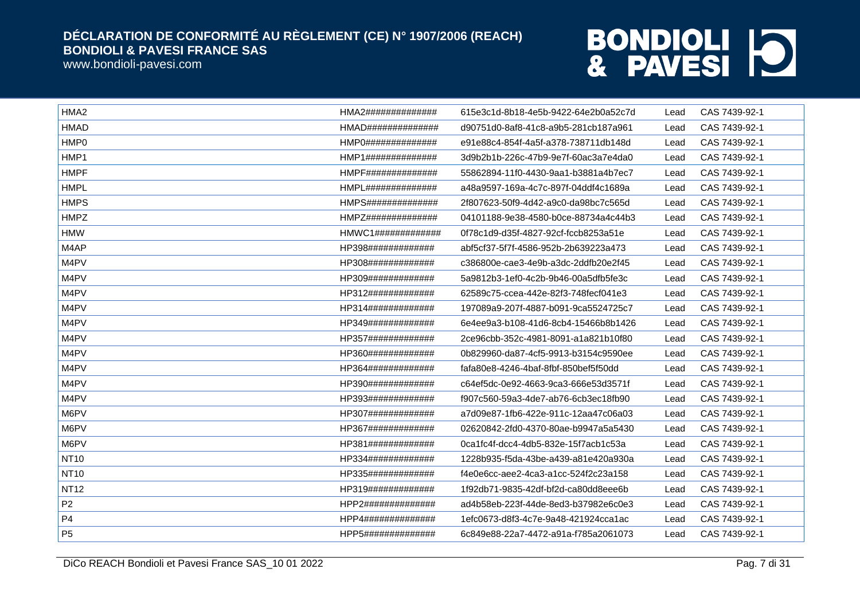www.bondioli-pavesi.com

| HMA <sub>2</sub> | HMA2############## | 615e3c1d-8b18-4e5b-9422-64e2b0a52c7d | Lead | CAS 7439-92-1 |
|------------------|--------------------|--------------------------------------|------|---------------|
| <b>HMAD</b>      | HMAD############## | d90751d0-8af8-41c8-a9b5-281cb187a961 | Lead | CAS 7439-92-1 |
| HMP0             | HMP0############## | e91e88c4-854f-4a5f-a378-738711db148d | Lead | CAS 7439-92-1 |
| HMP1             | HMP1############## | 3d9b2b1b-226c-47b9-9e7f-60ac3a7e4da0 | Lead | CAS 7439-92-1 |
| <b>HMPF</b>      | HMPF############## | 55862894-11f0-4430-9aa1-b3881a4b7ec7 | Lead | CAS 7439-92-1 |
| <b>HMPL</b>      | HMPL############## | a48a9597-169a-4c7c-897f-04ddf4c1689a | Lead | CAS 7439-92-1 |
| <b>HMPS</b>      | HMPS############## | 2f807623-50f9-4d42-a9c0-da98bc7c565d | Lead | CAS 7439-92-1 |
| <b>HMPZ</b>      | HMP7############## | 04101188-9e38-4580-b0ce-88734a4c44b3 | Lead | CAS 7439-92-1 |
| <b>HMW</b>       | HMWC1############# | 0f78c1d9-d35f-4827-92cf-fccb8253a51e | Lead | CAS 7439-92-1 |
| M4AP             | HP398############# | abf5cf37-5f7f-4586-952b-2b639223a473 | Lead | CAS 7439-92-1 |
| M4PV             | HP308############# | c386800e-cae3-4e9b-a3dc-2ddfb20e2f45 | Lead | CAS 7439-92-1 |
| M4PV             | HP309############# | 5a9812b3-1ef0-4c2b-9b46-00a5dfb5fe3c | Lead | CAS 7439-92-1 |
| M4PV             | HP312############# | 62589c75-ccea-442e-82f3-748fecf041e3 | Lead | CAS 7439-92-1 |
| M4PV             | HP314############# | 197089a9-207f-4887-b091-9ca5524725c7 | Lead | CAS 7439-92-1 |
| M4PV             | HP349############# | 6e4ee9a3-b108-41d6-8cb4-15466b8b1426 | Lead | CAS 7439-92-1 |
| M4PV             | HP357############# | 2ce96cbb-352c-4981-8091-a1a821b10f80 | Lead | CAS 7439-92-1 |
| M4PV             | HP360############# | 0b829960-da87-4cf5-9913-b3154c9590ee | Lead | CAS 7439-92-1 |
| M4PV             | HP364############# | fafa80e8-4246-4baf-8fbf-850bef5f50dd | Lead | CAS 7439-92-1 |
| M4PV             | HP390############# | c64ef5dc-0e92-4663-9ca3-666e53d3571f | Lead | CAS 7439-92-1 |
| M4PV             | HP393############# | f907c560-59a3-4de7-ab76-6cb3ec18fb90 | Lead | CAS 7439-92-1 |
| M6PV             | HP307############# | a7d09e87-1fb6-422e-911c-12aa47c06a03 | Lead | CAS 7439-92-1 |
| M6PV             | HP367############# | 02620842-2fd0-4370-80ae-b9947a5a5430 | Lead | CAS 7439-92-1 |
| M6PV             | HP381############# | 0ca1fc4f-dcc4-4db5-832e-15f7acb1c53a | Lead | CAS 7439-92-1 |
| <b>NT10</b>      | HP334############# | 1228b935-f5da-43be-a439-a81e420a930a | Lead | CAS 7439-92-1 |
| <b>NT10</b>      | HP335############# | f4e0e6cc-aee2-4ca3-a1cc-524f2c23a158 | Lead | CAS 7439-92-1 |
| <b>NT12</b>      | HP319############# | 1f92db71-9835-42df-bf2d-ca80dd8eee6b | Lead | CAS 7439-92-1 |
| P <sub>2</sub>   | HPP2############## | ad4b58eb-223f-44de-8ed3-b37982e6c0e3 | Lead | CAS 7439-92-1 |
| P <sub>4</sub>   | HPP4############## | 1efc0673-d8f3-4c7e-9a48-421924cca1ac | Lead | CAS 7439-92-1 |
| P <sub>5</sub>   | HPP5############## | 6c849e88-22a7-4472-a91a-f785a2061073 | Lead | CAS 7439-92-1 |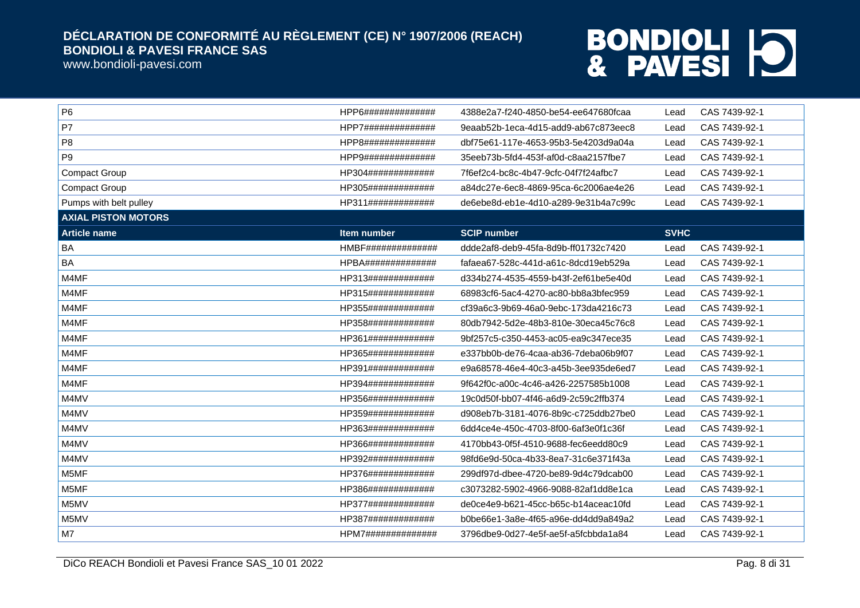www.bondioli-pavesi.com

| P <sub>6</sub>             | HPP6############## | 4388e2a7-f240-4850-be54-ee647680fcaa | Lead        | CAS 7439-92-1 |
|----------------------------|--------------------|--------------------------------------|-------------|---------------|
| P7                         | HPP7############## | 9eaab52b-1eca-4d15-add9-ab67c873eec8 | Lead        | CAS 7439-92-1 |
| P <sub>8</sub>             | HPP8############## | dbf75e61-117e-4653-95b3-5e4203d9a04a | Lead        | CAS 7439-92-1 |
| P9                         | HPP9############## | 35eeb73b-5fd4-453f-af0d-c8aa2157fbe7 | Lead        | CAS 7439-92-1 |
| <b>Compact Group</b>       | HP304############# | 7f6ef2c4-bc8c-4b47-9cfc-04f7f24afbc7 | Lead        | CAS 7439-92-1 |
| <b>Compact Group</b>       | HP305############# | a84dc27e-6ec8-4869-95ca-6c2006ae4e26 | Lead        | CAS 7439-92-1 |
| Pumps with belt pulley     | HP311############# | de6ebe8d-eb1e-4d10-a289-9e31b4a7c99c | Lead        | CAS 7439-92-1 |
| <b>AXIAL PISTON MOTORS</b> |                    |                                      |             |               |
| <b>Article name</b>        | <b>Item number</b> | <b>SCIP number</b>                   | <b>SVHC</b> |               |
| BA                         | HMBF############## | ddde2af8-deb9-45fa-8d9b-ff01732c7420 | Lead        | CAS 7439-92-1 |
| BA                         | HPBA############## | fafaea67-528c-441d-a61c-8dcd19eb529a | Lead        | CAS 7439-92-1 |
| M4MF                       | HP313############# | d334b274-4535-4559-b43f-2ef61be5e40d | Lead        | CAS 7439-92-1 |
| M4MF                       | HP315############# | 68983cf6-5ac4-4270-ac80-bb8a3bfec959 | Lead        | CAS 7439-92-1 |
| M4MF                       | HP355############# | cf39a6c3-9b69-46a0-9ebc-173da4216c73 | Lead        | CAS 7439-92-1 |
| M4MF                       | HP358############# | 80db7942-5d2e-48b3-810e-30eca45c76c8 | Lead        | CAS 7439-92-1 |
| M4MF                       | HP361############# | 9bf257c5-c350-4453-ac05-ea9c347ece35 | Lead        | CAS 7439-92-1 |
| M4MF                       | HP365############# | e337bb0b-de76-4caa-ab36-7deba06b9f07 | Lead        | CAS 7439-92-1 |
| M4MF                       | HP391############# | e9a68578-46e4-40c3-a45b-3ee935de6ed7 | Lead        | CAS 7439-92-1 |
| M4MF                       | HP394############# | 9f642f0c-a00c-4c46-a426-2257585b1008 | Lead        | CAS 7439-92-1 |
| M4MV                       | HP356############# | 19c0d50f-bb07-4f46-a6d9-2c59c2ffb374 | Lead        | CAS 7439-92-1 |
| M4MV                       | HP359############# | d908eb7b-3181-4076-8b9c-c725ddb27be0 | Lead        | CAS 7439-92-1 |
| M4MV                       | HP363############# | 6dd4ce4e-450c-4703-8f00-6af3e0f1c36f | Lead        | CAS 7439-92-1 |
| M4MV                       | HP366############# | 4170bb43-0f5f-4510-9688-fec6eedd80c9 | Lead        | CAS 7439-92-1 |
| M4MV                       | HP392############# | 98fd6e9d-50ca-4b33-8ea7-31c6e371f43a | Lead        | CAS 7439-92-1 |
| M5MF                       | HP376############# | 299df97d-dbee-4720-be89-9d4c79dcab00 | Lead        | CAS 7439-92-1 |
| M5MF                       | HP386############# | c3073282-5902-4966-9088-82af1dd8e1ca | Lead        | CAS 7439-92-1 |
| M5MV                       | HP377############# | de0ce4e9-b621-45cc-b65c-b14aceac10fd | Lead        | CAS 7439-92-1 |
| M5MV                       | HP387############# | b0be66e1-3a8e-4f65-a96e-dd4dd9a849a2 | Lead        | CAS 7439-92-1 |
| M7                         | HPM7############## | 3796dbe9-0d27-4e5f-ae5f-a5fcbbda1a84 | Lead        | CAS 7439-92-1 |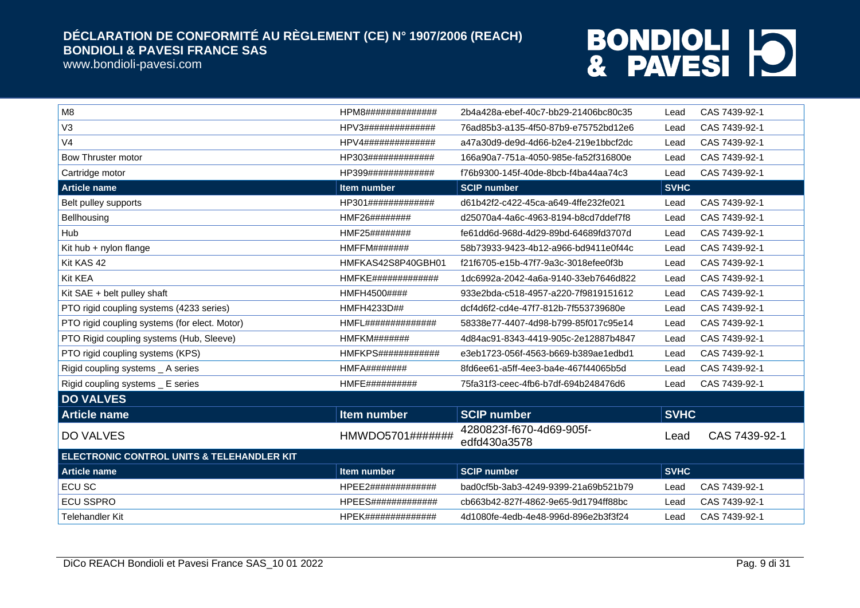www.bondioli-pavesi.com

| M <sub>8</sub>                                        | HPM8##############         | 2b4a428a-ebef-40c7-bb29-21406bc80c35     | Lead        | CAS 7439-92-1 |
|-------------------------------------------------------|----------------------------|------------------------------------------|-------------|---------------|
| V <sub>3</sub>                                        | HPV3##############         | 76ad85b3-a135-4f50-87b9-e75752bd12e6     | Lead        | CAS 7439-92-1 |
| V <sub>4</sub>                                        | HPV4##############         | a47a30d9-de9d-4d66-b2e4-219e1bbcf2dc     | Lead        | CAS 7439-92-1 |
| Bow Thruster motor                                    | HP303#############         | 166a90a7-751a-4050-985e-fa52f316800e     | Lead        | CAS 7439-92-1 |
| Cartridge motor                                       | HP399#############         | f76b9300-145f-40de-8bcb-f4ba44aa74c3     | Lead        | CAS 7439-92-1 |
| <b>Article name</b>                                   | <b>Item number</b>         | <b>SCIP number</b>                       | <b>SVHC</b> |               |
| Belt pulley supports                                  | HP301#############         | d61b42f2-c422-45ca-a649-4ffe232fe021     | Lead        | CAS 7439-92-1 |
| Bellhousing                                           | HMF26########              | d25070a4-4a6c-4963-8194-b8cd7ddef7f8     | Lead        | CAS 7439-92-1 |
| Hub                                                   | HMF25########              | fe61dd6d-968d-4d29-89bd-64689fd3707d     | Lead        | CAS 7439-92-1 |
| Kit hub + nylon flange                                | HMFFM#######               | 58b73933-9423-4b12-a966-bd9411e0f44c     | Lead        | CAS 7439-92-1 |
| Kit KAS 42                                            | HMFKAS42S8P40GBH01         | f21f6705-e15b-47f7-9a3c-3018efee0f3b     | Lead        | CAS 7439-92-1 |
| Kit KEA                                               | <b>HMFKE#############</b>  | 1dc6992a-2042-4a6a-9140-33eb7646d822     | Lead        | CAS 7439-92-1 |
| Kit SAE + belt pulley shaft                           | HMFH4500####               | 933e2bda-c518-4957-a220-7f9819151612     | Lead        | CAS 7439-92-1 |
| PTO rigid coupling systems (4233 series)              | HMFH4233D##                | dcf4d6f2-cd4e-47f7-812b-7f553739680e     | Lead        | CAS 7439-92-1 |
| PTO rigid coupling systems (for elect. Motor)         | HMFL#############          | 58338e77-4407-4d98-b799-85f017c95e14     | Lead        | CAS 7439-92-1 |
| PTO Rigid coupling systems (Hub, Sleeve)              | HMFKM########              | 4d84ac91-8343-4419-905c-2e12887b4847     | Lead        | CAS 7439-92-1 |
| PTO rigid coupling systems (KPS)                      | <b>HMFKPS#############</b> | e3eb1723-056f-4563-b669-b389ae1edbd1     | Lead        | CAS 7439-92-1 |
| Rigid coupling systems _ A series                     | <b>HMFA########</b>        | 8fd6ee61-a5ff-4ee3-ba4e-467f44065b5d     | Lead        | CAS 7439-92-1 |
| Rigid coupling systems _ E series                     | <b>HMFE##########</b>      | 75fa31f3-ceec-4fb6-b7df-694b248476d6     | Lead        | CAS 7439-92-1 |
| <b>DO VALVES</b>                                      |                            |                                          |             |               |
| <b>Article name</b>                                   | Item number                | <b>SCIP number</b>                       | <b>SVHC</b> |               |
| <b>DO VALVES</b>                                      | HMWDO5701#######           | 4280823f-f670-4d69-905f-<br>edfd430a3578 | Lead        | CAS 7439-92-1 |
| <b>ELECTRONIC CONTROL UNITS &amp; TELEHANDLER KIT</b> |                            |                                          |             |               |
| <b>Article name</b>                                   | Item number                | <b>SCIP number</b>                       | <b>SVHC</b> |               |
| <b>ECU SC</b>                                         | HPEE2#############         | bad0cf5b-3ab3-4249-9399-21a69b521b79     | Lead        | CAS 7439-92-1 |
| <b>ECU SSPRO</b>                                      | <b>HPEES#############</b>  | cb663b42-827f-4862-9e65-9d1794ff88bc     | Lead        | CAS 7439-92-1 |
| <b>Telehandler Kit</b>                                | <b>HPEK##############</b>  | 4d1080fe-4edb-4e48-996d-896e2b3f3f24     | Lead        | CAS 7439-92-1 |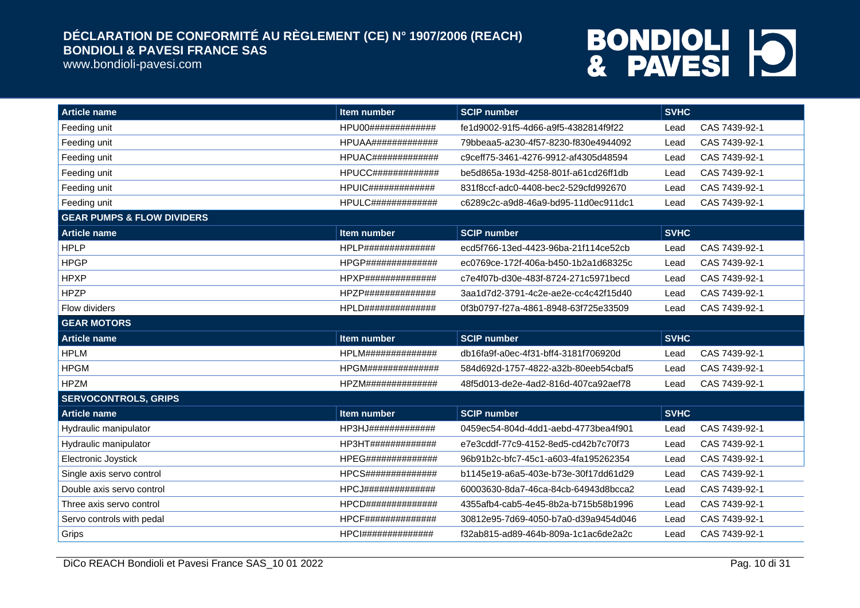www.bondioli-pavesi.com

| <b>Article name</b>                   | Item number               | <b>SCIP number</b>                   | <b>SVHC</b>           |
|---------------------------------------|---------------------------|--------------------------------------|-----------------------|
| Feeding unit                          | HPU00#############        | fe1d9002-91f5-4d66-a9f5-4382814f9f22 | CAS 7439-92-1<br>Lead |
| Feeding unit                          | <b>HPUAA#############</b> | 79bbeaa5-a230-4f57-8230-f830e4944092 | CAS 7439-92-1<br>Lead |
| Feeding unit                          | HPUAC#############        | c9ceff75-3461-4276-9912-af4305d48594 | CAS 7439-92-1<br>Lead |
| Feeding unit                          | HPUCC#############        | be5d865a-193d-4258-801f-a61cd26ff1db | CAS 7439-92-1<br>Lead |
| Feeding unit                          | <b>HPUIC#############</b> | 831f8ccf-adc0-4408-bec2-529cfd992670 | CAS 7439-92-1<br>Lead |
| Feeding unit                          | HPULC#############        | c6289c2c-a9d8-46a9-bd95-11d0ec911dc1 | CAS 7439-92-1<br>Lead |
| <b>GEAR PUMPS &amp; FLOW DIVIDERS</b> |                           |                                      |                       |
| <b>Article name</b>                   | <b>Item number</b>        | <b>SCIP number</b>                   | <b>SVHC</b>           |
| <b>HPLP</b>                           | HPLP##############        | ecd5f766-13ed-4423-96ba-21f114ce52cb | CAS 7439-92-1<br>Lead |
| <b>HPGP</b>                           | HPGP##############        | ec0769ce-172f-406a-b450-1b2a1d68325c | CAS 7439-92-1<br>Lead |
| <b>HPXP</b>                           | HPXP##############        | c7e4f07b-d30e-483f-8724-271c5971becd | CAS 7439-92-1<br>Lead |
| <b>HPZP</b>                           | HPZP##############        | 3aa1d7d2-3791-4c2e-ae2e-cc4c42f15d40 | CAS 7439-92-1<br>Lead |
| Flow dividers                         | HPLD##############        | 0f3b0797-f27a-4861-8948-63f725e33509 | CAS 7439-92-1<br>Lead |
| <b>GEAR MOTORS</b>                    |                           |                                      |                       |
| <b>Article name</b>                   | Item number               | <b>SCIP number</b>                   | <b>SVHC</b>           |
| <b>HPLM</b>                           | HPLM##############        | db16fa9f-a0ec-4f31-bff4-3181f706920d | CAS 7439-92-1<br>Lead |
| <b>HPGM</b>                           | <b>HPGM##############</b> | 584d692d-1757-4822-a32b-80eeb54cbaf5 | CAS 7439-92-1<br>Lead |
| <b>HPZM</b>                           | HPZM##############        | 48f5d013-de2e-4ad2-816d-407ca92aef78 | CAS 7439-92-1<br>Lead |
| <b>SERVOCONTROLS, GRIPS</b>           |                           |                                      |                       |
| <b>Article name</b>                   | Item number               | <b>SCIP number</b>                   | <b>SVHC</b>           |
| Hydraulic manipulator                 | HP3HJ#############        | 0459ec54-804d-4dd1-aebd-4773bea4f901 | CAS 7439-92-1<br>Lead |
| Hydraulic manipulator                 | HP3HT#############        | e7e3cddf-77c9-4152-8ed5-cd42b7c70f73 | CAS 7439-92-1<br>Lead |
| Electronic Joystick                   | <b>HPEG##############</b> | 96b91b2c-bfc7-45c1-a603-4fa195262354 | CAS 7439-92-1<br>Lead |
| Single axis servo control             | HPCS##############        | b1145e19-a6a5-403e-b73e-30f17dd61d29 | CAS 7439-92-1<br>Lead |
| Double axis servo control             | HPCJ##############        | 60003630-8da7-46ca-84cb-64943d8bcca2 | CAS 7439-92-1<br>Lead |
| Three axis servo control              | HPCD##############        | 4355afb4-cab5-4e45-8b2a-b715b58b1996 | CAS 7439-92-1<br>Lead |
| Servo controls with pedal             | HPCF##############        | 30812e95-7d69-4050-b7a0-d39a9454d046 | CAS 7439-92-1<br>Lead |
| Grips                                 | HPCI##############        | f32ab815-ad89-464b-809a-1c1ac6de2a2c | CAS 7439-92-1<br>Lead |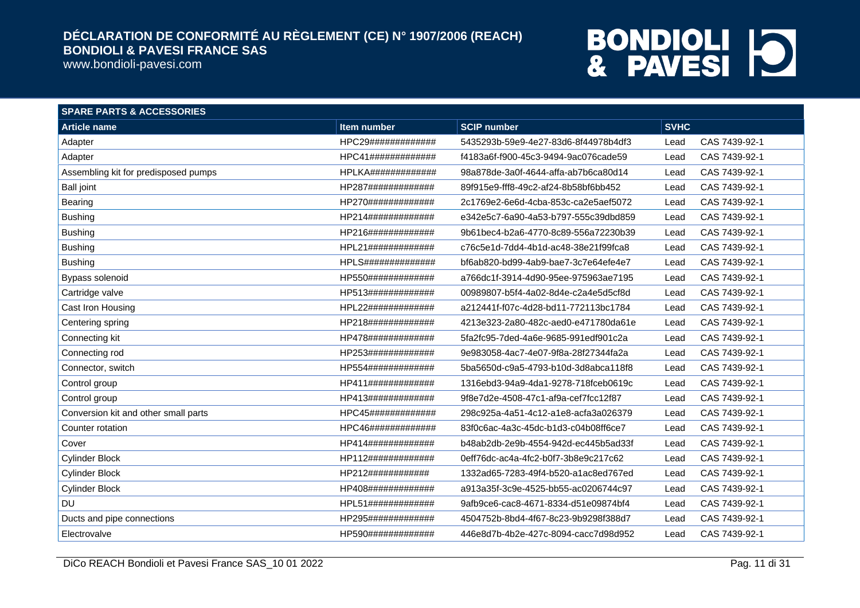www.bondioli-pavesi.com

| <b>SPARE PARTS &amp; ACCESSORIES</b> |                    |                                      |             |               |
|--------------------------------------|--------------------|--------------------------------------|-------------|---------------|
| <b>Article name</b>                  | Item number        | <b>SCIP number</b>                   | <b>SVHC</b> |               |
| Adapter                              | HPC29############# | 5435293b-59e9-4e27-83d6-8f44978b4df3 | Lead        | CAS 7439-92-1 |
| Adapter                              | HPC41############# | f4183a6f-f900-45c3-9494-9ac076cade59 | Lead        | CAS 7439-92-1 |
| Assembling kit for predisposed pumps | HPLKA############# | 98a878de-3a0f-4644-affa-ab7b6ca80d14 | Lead        | CAS 7439-92-1 |
| <b>Ball joint</b>                    | HP287############# | 89f915e9-fff8-49c2-af24-8b58bf6bb452 | Lead        | CAS 7439-92-1 |
| Bearing                              | HP270############# | 2c1769e2-6e6d-4cba-853c-ca2e5aef5072 | Lead        | CAS 7439-92-1 |
| <b>Bushing</b>                       | HP214############# | e342e5c7-6a90-4a53-b797-555c39dbd859 | Lead        | CAS 7439-92-1 |
| <b>Bushing</b>                       | HP216############# | 9b61bec4-b2a6-4770-8c89-556a72230b39 | Lead        | CAS 7439-92-1 |
| <b>Bushing</b>                       | HPL21############# | c76c5e1d-7dd4-4b1d-ac48-38e21f99fca8 | Lead        | CAS 7439-92-1 |
| <b>Bushing</b>                       | HPLS############## | bf6ab820-bd99-4ab9-bae7-3c7e64efe4e7 | Lead        | CAS 7439-92-1 |
| Bypass solenoid                      | HP550############# | a766dc1f-3914-4d90-95ee-975963ae7195 | Lead        | CAS 7439-92-1 |
| Cartridge valve                      | HP513############# | 00989807-b5f4-4a02-8d4e-c2a4e5d5cf8d | Lead        | CAS 7439-92-1 |
| Cast Iron Housing                    | HPL22############# | a212441f-f07c-4d28-bd11-772113bc1784 | Lead        | CAS 7439-92-1 |
| Centering spring                     | HP218############# | 4213e323-2a80-482c-aed0-e471780da61e | Lead        | CAS 7439-92-1 |
| Connecting kit                       | HP478############# | 5fa2fc95-7ded-4a6e-9685-991edf901c2a | Lead        | CAS 7439-92-1 |
| Connecting rod                       | HP253############# | 9e983058-4ac7-4e07-9f8a-28f27344fa2a | Lead        | CAS 7439-92-1 |
| Connector, switch                    | HP554############# | 5ba5650d-c9a5-4793-b10d-3d8abca118f8 | Lead        | CAS 7439-92-1 |
| Control group                        | HP411############# | 1316ebd3-94a9-4da1-9278-718fceb0619c | Lead        | CAS 7439-92-1 |
| Control group                        | HP413############# | 9f8e7d2e-4508-47c1-af9a-cef7fcc12f87 | Lead        | CAS 7439-92-1 |
| Conversion kit and other small parts | HPC45############# | 298c925a-4a51-4c12-a1e8-acfa3a026379 | Lead        | CAS 7439-92-1 |
| Counter rotation                     | HPC46############# | 83f0c6ac-4a3c-45dc-b1d3-c04b08ff6ce7 | Lead        | CAS 7439-92-1 |
| Cover                                | HP414############# | b48ab2db-2e9b-4554-942d-ec445b5ad33f | Lead        | CAS 7439-92-1 |
| <b>Cylinder Block</b>                | HP112############# | 0eff76dc-ac4a-4fc2-b0f7-3b8e9c217c62 | Lead        | CAS 7439-92-1 |
| <b>Cylinder Block</b>                | HP212############  | 1332ad65-7283-49f4-b520-a1ac8ed767ed | Lead        | CAS 7439-92-1 |
| <b>Cylinder Block</b>                | HP408############# | a913a35f-3c9e-4525-bb55-ac0206744c97 | Lead        | CAS 7439-92-1 |
| <b>DU</b>                            | HPL51############# | 9afb9ce6-cac8-4671-8334-d51e09874bf4 | Lead        | CAS 7439-92-1 |
| Ducts and pipe connections           | HP295############# | 4504752b-8bd4-4f67-8c23-9b9298f388d7 | Lead        | CAS 7439-92-1 |
| Electrovalve                         | HP590############# | 446e8d7b-4b2e-427c-8094-cacc7d98d952 | Lead        | CAS 7439-92-1 |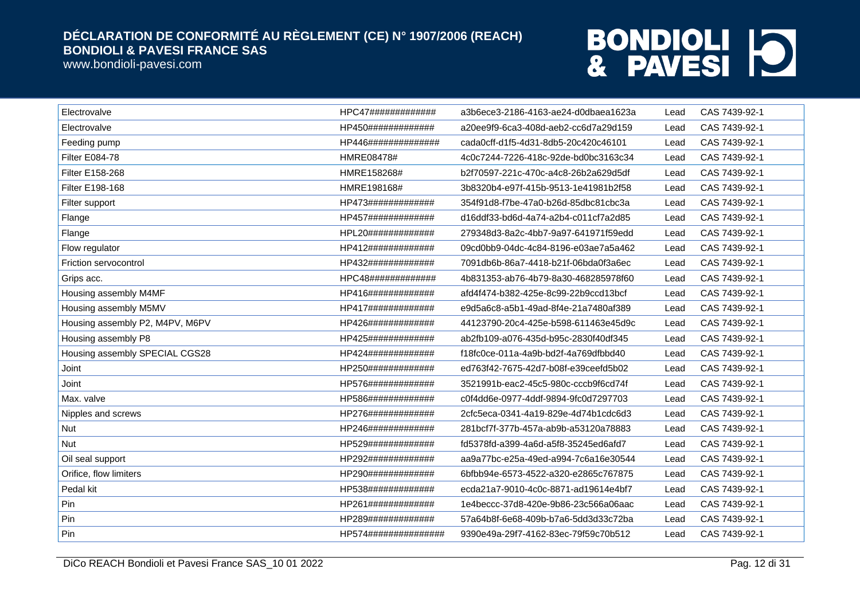www.bondioli-pavesi.com

| Electrovalve                    | HPC47#############   | a3b6ece3-2186-4163-ae24-d0dbaea1623a | Lead | CAS 7439-92-1 |
|---------------------------------|----------------------|--------------------------------------|------|---------------|
| Electrovalve                    | HP450#############   | a20ee9f9-6ca3-408d-aeb2-cc6d7a29d159 | Lead | CAS 7439-92-1 |
| Feeding pump                    | HP446##############  | cada0cff-d1f5-4d31-8db5-20c420c46101 | Lead | CAS 7439-92-1 |
| Filter E084-78                  | HMRE08478#           | 4c0c7244-7226-418c-92de-bd0bc3163c34 | Lead | CAS 7439-92-1 |
| Filter E158-268                 | HMRE158268#          | b2f70597-221c-470c-a4c8-26b2a629d5df | Lead | CAS 7439-92-1 |
| Filter E198-168                 | HMRE198168#          | 3b8320b4-e97f-415b-9513-1e41981b2f58 | Lead | CAS 7439-92-1 |
| Filter support                  | HP473#############   | 354f91d8-f7be-47a0-b26d-85dbc81cbc3a | Lead | CAS 7439-92-1 |
| Flange                          | HP457#############   | d16ddf33-bd6d-4a74-a2b4-c011cf7a2d85 | Lead | CAS 7439-92-1 |
| Flange                          | HPL20#############   | 279348d3-8a2c-4bb7-9a97-641971f59edd | Lead | CAS 7439-92-1 |
| Flow regulator                  | HP412#############   | 09cd0bb9-04dc-4c84-8196-e03ae7a5a462 | Lead | CAS 7439-92-1 |
| Friction servocontrol           | HP432#############   | 7091db6b-86a7-4418-b21f-06bda0f3a6ec | Lead | CAS 7439-92-1 |
| Grips acc.                      | HPC48#############   | 4b831353-ab76-4b79-8a30-468285978f60 | Lead | CAS 7439-92-1 |
| Housing assembly M4MF           | HP416#############   | afd4f474-b382-425e-8c99-22b9ccd13bcf | Lead | CAS 7439-92-1 |
| Housing assembly M5MV           | HP417#############   | e9d5a6c8-a5b1-49ad-8f4e-21a7480af389 | Lead | CAS 7439-92-1 |
| Housing assembly P2, M4PV, M6PV | HP426#############   | 44123790-20c4-425e-b598-611463e45d9c | Lead | CAS 7439-92-1 |
| Housing assembly P8             | HP425#############   | ab2fb109-a076-435d-b95c-2830f40df345 | Lead | CAS 7439-92-1 |
| Housing assembly SPECIAL CGS28  | HP424#############   | f18fc0ce-011a-4a9b-bd2f-4a769dfbbd40 | Lead | CAS 7439-92-1 |
| Joint                           | HP250#############   | ed763f42-7675-42d7-b08f-e39ceefd5b02 | Lead | CAS 7439-92-1 |
| Joint                           | HP576#############   | 3521991b-eac2-45c5-980c-cccb9f6cd74f | Lead | CAS 7439-92-1 |
| Max. valve                      | HP586#############   | c0f4dd6e-0977-4ddf-9894-9fc0d7297703 | Lead | CAS 7439-92-1 |
| Nipples and screws              | HP276#############   | 2cfc5eca-0341-4a19-829e-4d74b1cdc6d3 | Lead | CAS 7439-92-1 |
| Nut                             | HP246#############   | 281bcf7f-377b-457a-ab9b-a53120a78883 | Lead | CAS 7439-92-1 |
| Nut                             | HP529#############   | fd5378fd-a399-4a6d-a5f8-35245ed6afd7 | Lead | CAS 7439-92-1 |
| Oil seal support                | HP292#############   | aa9a77bc-e25a-49ed-a994-7c6a16e30544 | Lead | CAS 7439-92-1 |
| Orifice, flow limiters          | HP290#############   | 6bfbb94e-6573-4522-a320-e2865c767875 | Lead | CAS 7439-92-1 |
| Pedal kit                       | HP538#############   | ecda21a7-9010-4c0c-8871-ad19614e4bf7 | Lead | CAS 7439-92-1 |
| Pin                             | HP261#############   | 1e4beccc-37d8-420e-9b86-23c566a06aac | Lead | CAS 7439-92-1 |
| Pin                             | HP289#############   | 57a64b8f-6e68-409b-b7a6-5dd3d33c72ba | Lead | CAS 7439-92-1 |
| Pin                             | HP574############### | 9390e49a-29f7-4162-83ec-79f59c70b512 | Lead | CAS 7439-92-1 |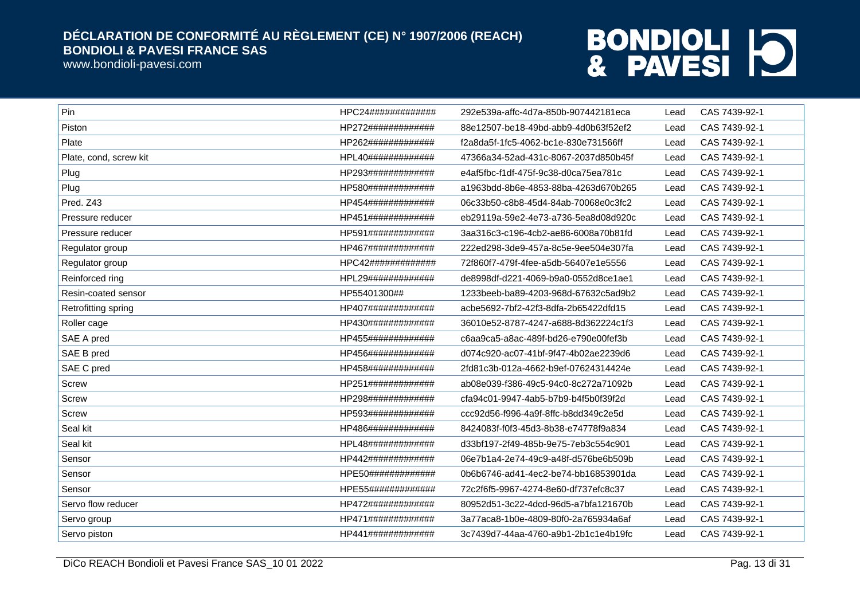www.bondioli-pavesi.com

| Pin                    | HPC24############# | 292e539a-affc-4d7a-850b-907442181eca | Lead | CAS 7439-92-1 |
|------------------------|--------------------|--------------------------------------|------|---------------|
| Piston                 | HP272############# | 88e12507-be18-49bd-abb9-4d0b63f52ef2 | Lead | CAS 7439-92-1 |
| Plate                  | HP262############# | f2a8da5f-1fc5-4062-bc1e-830e731566ff | Lead | CAS 7439-92-1 |
| Plate, cond, screw kit | HPL40############# | 47366a34-52ad-431c-8067-2037d850b45f | Lead | CAS 7439-92-1 |
| Plug                   | HP293############# | e4af5fbc-f1df-475f-9c38-d0ca75ea781c | Lead | CAS 7439-92-1 |
| Plug                   | HP580############# | a1963bdd-8b6e-4853-88ba-4263d670b265 | Lead | CAS 7439-92-1 |
| Pred. Z43              | HP454############# | 06c33b50-c8b8-45d4-84ab-70068e0c3fc2 | Lead | CAS 7439-92-1 |
| Pressure reducer       | HP451############# | eb29119a-59e2-4e73-a736-5ea8d08d920c | Lead | CAS 7439-92-1 |
| Pressure reducer       | HP591############# | 3aa316c3-c196-4cb2-ae86-6008a70b81fd | Lead | CAS 7439-92-1 |
| Regulator group        | HP467############# | 222ed298-3de9-457a-8c5e-9ee504e307fa | Lead | CAS 7439-92-1 |
| Regulator group        | HPC42############# | 72f860f7-479f-4fee-a5db-56407e1e5556 | Lead | CAS 7439-92-1 |
| Reinforced ring        | HPL29############# | de8998df-d221-4069-b9a0-0552d8ce1ae1 | Lead | CAS 7439-92-1 |
| Resin-coated sensor    | HP55401300##       | 1233beeb-ba89-4203-968d-67632c5ad9b2 | Lead | CAS 7439-92-1 |
| Retrofitting spring    | HP407############# | acbe5692-7bf2-42f3-8dfa-2b65422dfd15 | Lead | CAS 7439-92-1 |
| Roller cage            | HP430############# | 36010e52-8787-4247-a688-8d362224c1f3 | Lead | CAS 7439-92-1 |
| SAE A pred             | HP455############# | c6aa9ca5-a8ac-489f-bd26-e790e00fef3b | Lead | CAS 7439-92-1 |
| SAE B pred             | HP456############# | d074c920-ac07-41bf-9f47-4b02ae2239d6 | Lead | CAS 7439-92-1 |
| SAE C pred             | HP458############# | 2fd81c3b-012a-4662-b9ef-07624314424e | Lead | CAS 7439-92-1 |
| Screw                  | HP251############# | ab08e039-f386-49c5-94c0-8c272a71092b | Lead | CAS 7439-92-1 |
| Screw                  | HP298############# | cfa94c01-9947-4ab5-b7b9-b4f5b0f39f2d | Lead | CAS 7439-92-1 |
| <b>Screw</b>           | HP593############# | ccc92d56-f996-4a9f-8ffc-b8dd349c2e5d | Lead | CAS 7439-92-1 |
| Seal kit               | HP486############# | 8424083f-f0f3-45d3-8b38-e74778f9a834 | Lead | CAS 7439-92-1 |
| Seal kit               | HPL48############# | d33bf197-2f49-485b-9e75-7eb3c554c901 | Lead | CAS 7439-92-1 |
| Sensor                 | HP442############# | 06e7b1a4-2e74-49c9-a48f-d576be6b509b | Lead | CAS 7439-92-1 |
| Sensor                 | HPE50############# | 0b6b6746-ad41-4ec2-be74-bb16853901da | Lead | CAS 7439-92-1 |
| Sensor                 | HPE55############# | 72c2f6f5-9967-4274-8e60-df737efc8c37 | Lead | CAS 7439-92-1 |
| Servo flow reducer     | HP472############# | 80952d51-3c22-4dcd-96d5-a7bfa121670b | Lead | CAS 7439-92-1 |
| Servo group            | HP471############# | 3a77aca8-1b0e-4809-80f0-2a765934a6af | Lead | CAS 7439-92-1 |
| Servo piston           | HP441############# | 3c7439d7-44aa-4760-a9b1-2b1c1e4b19fc | Lead | CAS 7439-92-1 |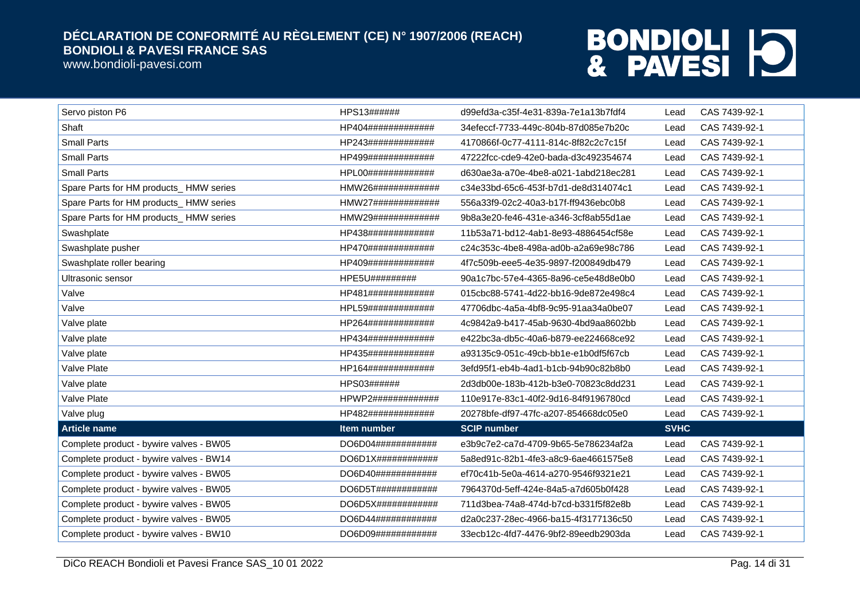www.bondioli-pavesi.com

| Servo piston P6                         | HPS13######                    | d99efd3a-c35f-4e31-839a-7e1a13b7fdf4 | Lead        | CAS 7439-92-1 |
|-----------------------------------------|--------------------------------|--------------------------------------|-------------|---------------|
| Shaft                                   | HP404#############             | 34efeccf-7733-449c-804b-87d085e7b20c | Lead        | CAS 7439-92-1 |
| <b>Small Parts</b>                      | HP243#############             | 4170866f-0c77-4111-814c-8f82c2c7c15f | Lead        | CAS 7439-92-1 |
| <b>Small Parts</b>                      | HP499#############             | 47222fcc-cde9-42e0-bada-d3c492354674 | Lead        | CAS 7439-92-1 |
| <b>Small Parts</b>                      | HPL00#############             | d630ae3a-a70e-4be8-a021-1abd218ec281 | Lead        | CAS 7439-92-1 |
| Spare Parts for HM products_HMW series  | HMW26#############             | c34e33bd-65c6-453f-b7d1-de8d314074c1 | Lead        | CAS 7439-92-1 |
| Spare Parts for HM products_HMW series  | $HMW27\#4\#4\#4\#4\#4\#4\#4\#$ | 556a33f9-02c2-40a3-b17f-ff9436ebc0b8 | Lead        | CAS 7439-92-1 |
| Spare Parts for HM products_HMW series  | HMW29#############             | 9b8a3e20-fe46-431e-a346-3cf8ab55d1ae | Lead        | CAS 7439-92-1 |
| Swashplate                              | HP438#############             | 11b53a71-bd12-4ab1-8e93-4886454cf58e | Lead        | CAS 7439-92-1 |
| Swashplate pusher                       | HP470#############             | c24c353c-4be8-498a-ad0b-a2a69e98c786 | Lead        | CAS 7439-92-1 |
| Swashplate roller bearing               | HP409#############             | 4f7c509b-eee5-4e35-9897-f200849db479 | Lead        | CAS 7439-92-1 |
| Ultrasonic sensor                       | HPE5U#########                 | 90a1c7bc-57e4-4365-8a96-ce5e48d8e0b0 | Lead        | CAS 7439-92-1 |
| Valve                                   | HP481#############             | 015cbc88-5741-4d22-bb16-9de872e498c4 | Lead        | CAS 7439-92-1 |
| Valve                                   | HPL59#############             | 47706dbc-4a5a-4bf8-9c95-91aa34a0be07 | Lead        | CAS 7439-92-1 |
| Valve plate                             | HP264#############             | 4c9842a9-b417-45ab-9630-4bd9aa8602bb | Lead        | CAS 7439-92-1 |
| Valve plate                             | HP434#############             | e422bc3a-db5c-40a6-b879-ee224668ce92 | Lead        | CAS 7439-92-1 |
| Valve plate                             | HP435#############             | a93135c9-051c-49cb-bb1e-e1b0df5f67cb | Lead        | CAS 7439-92-1 |
| Valve Plate                             | HP164#############             | 3efd95f1-eb4b-4ad1-b1cb-94b90c82b8b0 | Lead        | CAS 7439-92-1 |
| Valve plate                             | HPS03######                    | 2d3db00e-183b-412b-b3e0-70823c8dd231 | Lead        | CAS 7439-92-1 |
| Valve Plate                             | HPWP2#############             | 110e917e-83c1-40f2-9d16-84f9196780cd | Lead        | CAS 7439-92-1 |
| Valve plug                              | HP482#############             | 20278bfe-df97-47fc-a207-854668dc05e0 | Lead        | CAS 7439-92-1 |
| <b>Article name</b>                     | Item number                    | <b>SCIP number</b>                   | <b>SVHC</b> |               |
| Complete product - bywire valves - BW05 | DO6D04############             | e3b9c7e2-ca7d-4709-9b65-5e786234af2a | Lead        | CAS 7439-92-1 |
| Complete product - bywire valves - BW14 | DO6D1X#############            | 5a8ed91c-82b1-4fe3-a8c9-6ae4661575e8 | Lead        | CAS 7439-92-1 |
| Complete product - bywire valves - BW05 | DO6D40############             | ef70c41b-5e0a-4614-a270-9546f9321e21 | Lead        | CAS 7439-92-1 |
| Complete product - bywire valves - BW05 | DO6D5T############             | 7964370d-5eff-424e-84a5-a7d605b0f428 | Lead        | CAS 7439-92-1 |
| Complete product - bywire valves - BW05 | DO6D5X############             | 711d3bea-74a8-474d-b7cd-b331f5f82e8b | Lead        | CAS 7439-92-1 |
| Complete product - bywire valves - BW05 | DO6D44############             | d2a0c237-28ec-4966-ba15-4f3177136c50 | Lead        | CAS 7439-92-1 |
| Complete product - bywire valves - BW10 | DO6D09############             | 33ecb12c-4fd7-4476-9bf2-89eedb2903da | Lead        | CAS 7439-92-1 |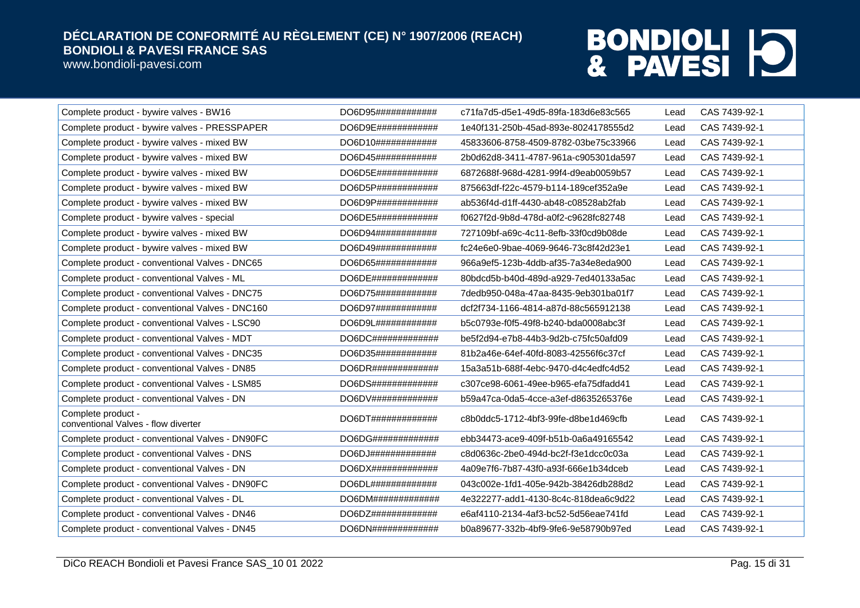www.bondioli-pavesi.com

| Complete product - bywire valves - BW16                   | DO6D95############              | c71fa7d5-d5e1-49d5-89fa-183d6e83c565 | Lead | CAS 7439-92-1 |
|-----------------------------------------------------------|---------------------------------|--------------------------------------|------|---------------|
| Complete product - bywire valves - PRESSPAPER             | DO6D9E#############             | 1e40f131-250b-45ad-893e-8024178555d2 | Lead | CAS 7439-92-1 |
| Complete product - bywire valves - mixed BW               | DO6D10#############             | 45833606-8758-4509-8782-03be75c33966 | Lead | CAS 7439-92-1 |
| Complete product - bywire valves - mixed BW               | DO6D45############              | 2b0d62d8-3411-4787-961a-c905301da597 | Lead | CAS 7439-92-1 |
| Complete product - bywire valves - mixed BW               | DO6D5E############              | 6872688f-968d-4281-99f4-d9eab0059b57 | Lead | CAS 7439-92-1 |
| Complete product - bywire valves - mixed BW               | $DO6D5P$ #############          | 875663df-f22c-4579-b114-189cef352a9e | Lead | CAS 7439-92-1 |
| Complete product - bywire valves - mixed BW               | DO6D9P############              | ab536f4d-d1ff-4430-ab48-c08528ab2fab | Lead | CAS 7439-92-1 |
| Complete product - bywire valves - special                | DO6DE5############              | f0627f2d-9b8d-478d-a0f2-c9628fc82748 | Lead | CAS 7439-92-1 |
| Complete product - bywire valves - mixed BW               | DO6D94############              | 727109bf-a69c-4c11-8efb-33f0cd9b08de | Lead | CAS 7439-92-1 |
| Complete product - bywire valves - mixed BW               | DO6D49############              | fc24e6e0-9bae-4069-9646-73c8f42d23e1 | Lead | CAS 7439-92-1 |
| Complete product - conventional Valves - DNC65            | DO6D65############              | 966a9ef5-123b-4ddb-af35-7a34e8eda900 | Lead | CAS 7439-92-1 |
| Complete product - conventional Valves - ML               | DO6DE#############              | 80bdcd5b-b40d-489d-a929-7ed40133a5ac | Lead | CAS 7439-92-1 |
| Complete product - conventional Valves - DNC75            | DO6D75############              | 7dedb950-048a-47aa-8435-9eb301ba01f7 | Lead | CAS 7439-92-1 |
| Complete product - conventional Valves - DNC160           | DO6D97############              | dcf2f734-1166-4814-a87d-88c565912138 | Lead | CAS 7439-92-1 |
| Complete product - conventional Valves - LSC90            | DO6D9L#############             | b5c0793e-f0f5-49f8-b240-bda0008abc3f | Lead | CAS 7439-92-1 |
| Complete product - conventional Valves - MDT              | $DO6DC\#4\#4\#4\#4\#4\#4\#4\#4$ | be5f2d94-e7b8-44b3-9d2b-c75fc50afd09 | Lead | CAS 7439-92-1 |
| Complete product - conventional Valves - DNC35            | DO6D35############              | 81b2a46e-64ef-40fd-8083-42556f6c37cf | Lead | CAS 7439-92-1 |
| Complete product - conventional Valves - DN85             |                                 | 15a3a51b-688f-4ebc-9470-d4c4edfc4d52 | Lead | CAS 7439-92-1 |
| Complete product - conventional Valves - LSM85            | DO6DS#############              | c307ce98-6061-49ee-b965-efa75dfadd41 | Lead | CAS 7439-92-1 |
| Complete product - conventional Valves - DN               | DO6DV#############              | b59a47ca-0da5-4cce-a3ef-d8635265376e | Lead | CAS 7439-92-1 |
| Complete product -<br>conventional Valves - flow diverter |                                 | c8b0ddc5-1712-4bf3-99fe-d8be1d469cfb | Lead | CAS 7439-92-1 |
| Complete product - conventional Valves - DN90FC           | DO6DG#############              | ebb34473-ace9-409f-b51b-0a6a49165542 | Lead | CAS 7439-92-1 |
| Complete product - conventional Valves - DNS              | DO6DJ#############              | c8d0636c-2be0-494d-bc2f-f3e1dcc0c03a | Lead | CAS 7439-92-1 |
| Complete product - conventional Valves - DN               | DO6DX##############             | 4a09e7f6-7b87-43f0-a93f-666e1b34dceb | Lead | CAS 7439-92-1 |
| Complete product - conventional Valves - DN90FC           | DO6DL#############              | 043c002e-1fd1-405e-942b-38426db288d2 | Lead | CAS 7439-92-1 |
| Complete product - conventional Valves - DL               | DO6DM#############              | 4e322277-add1-4130-8c4c-818dea6c9d22 | Lead | CAS 7439-92-1 |
| Complete product - conventional Valves - DN46             | DO6DZ#############              | e6af4110-2134-4af3-bc52-5d56eae741fd | Lead | CAS 7439-92-1 |
| Complete product - conventional Valves - DN45             | DO6DN##############             | b0a89677-332b-4bf9-9fe6-9e58790b97ed | Lead | CAS 7439-92-1 |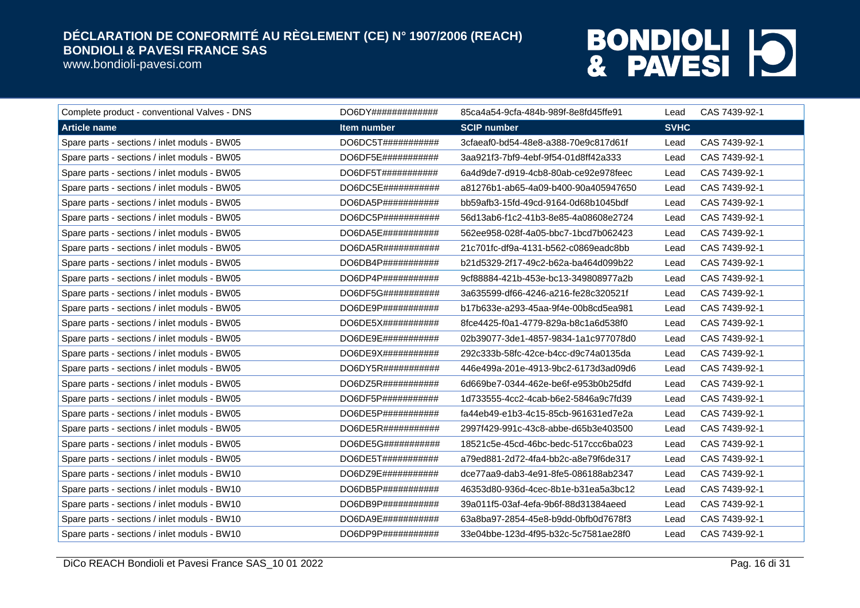www.bondioli-pavesi.com

| Complete product - conventional Valves - DNS | DO6DY##############            | 85ca4a54-9cfa-484b-989f-8e8fd45ffe91 | Lead        | CAS 7439-92-1 |
|----------------------------------------------|--------------------------------|--------------------------------------|-------------|---------------|
| <b>Article name</b>                          | Item number                    | <b>SCIP number</b>                   | <b>SVHC</b> |               |
| Spare parts - sections / inlet moduls - BW05 | DO6DC5T###########             | 3cfaeaf0-bd54-48e8-a388-70e9c817d61f | Lead        | CAS 7439-92-1 |
| Spare parts - sections / inlet moduls - BW05 | DO6DF5E###########             | 3aa921f3-7bf9-4ebf-9f54-01d8ff42a333 | Lead        | CAS 7439-92-1 |
| Spare parts - sections / inlet moduls - BW05 | DO6DF5T###########             | 6a4d9de7-d919-4cb8-80ab-ce92e978feec | Lead        | CAS 7439-92-1 |
| Spare parts - sections / inlet moduls - BW05 | $DO6DC5E$ ############         | a81276b1-ab65-4a09-b400-90a405947650 | Lead        | CAS 7439-92-1 |
| Spare parts - sections / inlet moduls - BW05 | DO6DA5P###########             | bb59afb3-15fd-49cd-9164-0d68b1045bdf | Lead        | CAS 7439-92-1 |
| Spare parts - sections / inlet moduls - BW05 | $DO6DC5P$ ############         | 56d13ab6-f1c2-41b3-8e85-4a08608e2724 | Lead        | CAS 7439-92-1 |
| Spare parts - sections / inlet moduls - BW05 | DO6DA5E###########             | 562ee958-028f-4a05-bbc7-1bcd7b062423 | Lead        | CAS 7439-92-1 |
| Spare parts - sections / inlet moduls - BW05 | $DO6DA5R$ ###########          | 21c701fc-df9a-4131-b562-c0869eadc8bb | Lead        | CAS 7439-92-1 |
| Spare parts - sections / inlet moduls - BW05 | DO6DB4P###########             | b21d5329-2f17-49c2-b62a-ba464d099b22 | Lead        | CAS 7439-92-1 |
| Spare parts - sections / inlet moduls - BW05 | DO6DP4P###########             | 9cf88884-421b-453e-bc13-349808977a2b | Lead        | CAS 7439-92-1 |
| Spare parts - sections / inlet moduls - BW05 | DO6DF5G###########             | 3a635599-df66-4246-a216-fe28c320521f | Lead        | CAS 7439-92-1 |
| Spare parts - sections / inlet moduls - BW05 | DO6DE9P###########             | b17b633e-a293-45aa-9f4e-00b8cd5ea981 | Lead        | CAS 7439-92-1 |
| Spare parts - sections / inlet moduls - BW05 | DO6DE5X###########             | 8fce4425-f0a1-4779-829a-b8c1a6d538f0 | Lead        | CAS 7439-92-1 |
| Spare parts - sections / inlet moduls - BW05 | DO6DE9E###########             | 02b39077-3de1-4857-9834-1a1c977078d0 | Lead        | CAS 7439-92-1 |
| Spare parts - sections / inlet moduls - BW05 | DO6DE9X############            | 292c333b-58fc-42ce-b4cc-d9c74a0135da | Lead        | CAS 7439-92-1 |
| Spare parts - sections / inlet moduls - BW05 | DO6DY5R# # # # # # # # # # # # | 446e499a-201e-4913-9bc2-6173d3ad09d6 | Lead        | CAS 7439-92-1 |
| Spare parts - sections / inlet moduls - BW05 | DO6DZ5R###########             | 6d669be7-0344-462e-be6f-e953b0b25dfd | Lead        | CAS 7439-92-1 |
| Spare parts - sections / inlet moduls - BW05 | DO6DF5P###########             | 1d733555-4cc2-4cab-b6e2-5846a9c7fd39 | Lead        | CAS 7439-92-1 |
| Spare parts - sections / inlet moduls - BW05 | DO6DE5P###########             | fa44eb49-e1b3-4c15-85cb-961631ed7e2a | Lead        | CAS 7439-92-1 |
| Spare parts - sections / inlet moduls - BW05 | DO6DE5R###########             | 2997f429-991c-43c8-abbe-d65b3e403500 | Lead        | CAS 7439-92-1 |
| Spare parts - sections / inlet moduls - BW05 | DO6DE5G###########             | 18521c5e-45cd-46bc-bedc-517ccc6ba023 | Lead        | CAS 7439-92-1 |
| Spare parts - sections / inlet moduls - BW05 | DO6DE5T###########             | a79ed881-2d72-4fa4-bb2c-a8e79f6de317 | Lead        | CAS 7439-92-1 |
| Spare parts - sections / inlet moduls - BW10 | DO6DZ9E###########             | dce77aa9-dab3-4e91-8fe5-086188ab2347 | Lead        | CAS 7439-92-1 |
| Spare parts - sections / inlet moduls - BW10 | DO6DB5P###########             | 46353d80-936d-4cec-8b1e-b31ea5a3bc12 | Lead        | CAS 7439-92-1 |
| Spare parts - sections / inlet moduls - BW10 | DO6DB9P###########             | 39a011f5-03af-4efa-9b6f-88d31384aeed | Lead        | CAS 7439-92-1 |
| Spare parts - sections / inlet moduls - BW10 | DO6DA9E###########             | 63a8ba97-2854-45e8-b9dd-0bfb0d7678f3 | Lead        | CAS 7439-92-1 |
| Spare parts - sections / inlet moduls - BW10 | DO6DP9P###########             | 33e04bbe-123d-4f95-b32c-5c7581ae28f0 | Lead        | CAS 7439-92-1 |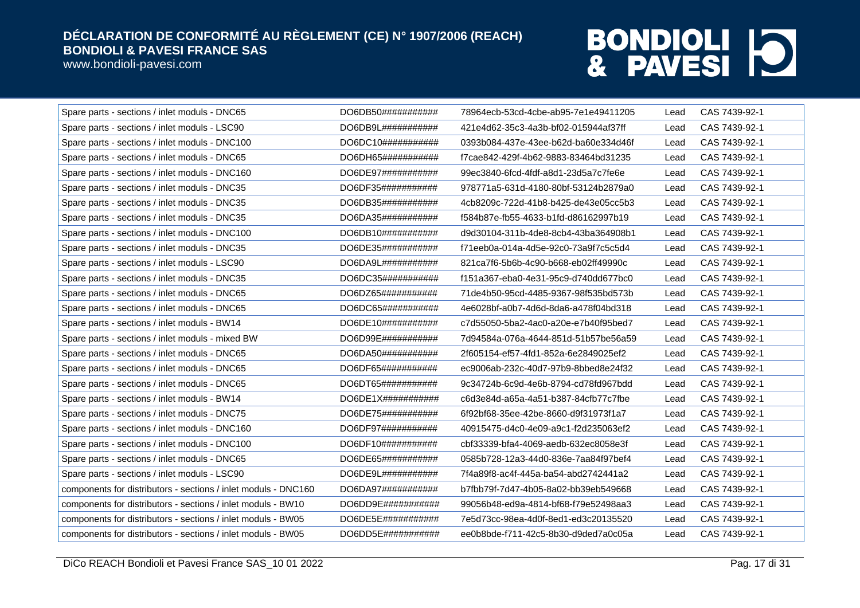www.bondioli-pavesi.com

| Spare parts - sections / inlet moduls - DNC65                  | DO6DB50############            | 78964ecb-53cd-4cbe-ab95-7e1e49411205 | Lead | CAS 7439-92-1 |
|----------------------------------------------------------------|--------------------------------|--------------------------------------|------|---------------|
| Spare parts - sections / inlet moduls - LSC90                  | DO6DB9L############            | 421e4d62-35c3-4a3b-bf02-015944af37ff | Lead | CAS 7439-92-1 |
| Spare parts - sections / inlet moduls - DNC100                 | DO6DC10# # # # # # # # # # # # | 0393b084-437e-43ee-b62d-ba60e334d46f | Lead | CAS 7439-92-1 |
| Spare parts - sections / inlet moduls - DNC65                  | DO6DH65###########             | f7cae842-429f-4b62-9883-83464bd31235 | Lead | CAS 7439-92-1 |
| Spare parts - sections / inlet moduls - DNC160                 | DO6DE97###########             | 99ec3840-6fcd-4fdf-a8d1-23d5a7c7fe6e | Lead | CAS 7439-92-1 |
| Spare parts - sections / inlet moduls - DNC35                  | DO6DF35###########             | 978771a5-631d-4180-80bf-53124b2879a0 | Lead | CAS 7439-92-1 |
| Spare parts - sections / inlet moduls - DNC35                  | DO6DB35###########             | 4cb8209c-722d-41b8-b425-de43e05cc5b3 | Lead | CAS 7439-92-1 |
| Spare parts - sections / inlet moduls - DNC35                  | DO6DA35###########             | f584b87e-fb55-4633-b1fd-d86162997b19 | Lead | CAS 7439-92-1 |
| Spare parts - sections / inlet moduls - DNC100                 | DO6DB10############            | d9d30104-311b-4de8-8cb4-43ba364908b1 | Lead | CAS 7439-92-1 |
| Spare parts - sections / inlet moduls - DNC35                  | DO6DE35###########             | f71eeb0a-014a-4d5e-92c0-73a9f7c5c5d4 | Lead | CAS 7439-92-1 |
| Spare parts - sections / inlet moduls - LSC90                  | DO6D49L# # # # # # # # # # # # | 821ca7f6-5b6b-4c90-b668-eb02ff49990c | Lead | CAS 7439-92-1 |
| Spare parts - sections / inlet moduls - DNC35                  | DO6DC35###########             | f151a367-eba0-4e31-95c9-d740dd677bc0 | Lead | CAS 7439-92-1 |
| Spare parts - sections / inlet moduls - DNC65                  | DO6DZ65###########             | 71de4b50-95cd-4485-9367-98f535bd573b | Lead | CAS 7439-92-1 |
| Spare parts - sections / inlet moduls - DNC65                  | DO6DC65###########             | 4e6028bf-a0b7-4d6d-8da6-a478f04bd318 | Lead | CAS 7439-92-1 |
| Spare parts - sections / inlet moduls - BW14                   | DO6DE10############            | c7d55050-5ba2-4ac0-a20e-e7b40f95bed7 | Lead | CAS 7439-92-1 |
| Spare parts - sections / inlet moduls - mixed BW               | DO6D99E###########             | 7d94584a-076a-4644-851d-51b57be56a59 | Lead | CAS 7439-92-1 |
| Spare parts - sections / inlet moduls - DNC65                  | DO6DA50###########             | 2f605154-ef57-4fd1-852a-6e2849025ef2 | Lead | CAS 7439-92-1 |
| Spare parts - sections / inlet moduls - DNC65                  | DO6DF65###########             | ec9006ab-232c-40d7-97b9-8bbed8e24f32 | Lead | CAS 7439-92-1 |
| Spare parts - sections / inlet moduls - DNC65                  | DO6DT65###########             | 9c34724b-6c9d-4e6b-8794-cd78fd967bdd | Lead | CAS 7439-92-1 |
| Spare parts - sections / inlet moduls - BW14                   | $DO6DE1X\#44444444444444$      | c6d3e84d-a65a-4a51-b387-84cfb77c7fbe | Lead | CAS 7439-92-1 |
| Spare parts - sections / inlet moduls - DNC75                  | DO6DE75###########             | 6f92bf68-35ee-42be-8660-d9f31973f1a7 | Lead | CAS 7439-92-1 |
| Spare parts - sections / inlet moduls - DNC160                 | DO6DF97###########             | 40915475-d4c0-4e09-a9c1-f2d235063ef2 | Lead | CAS 7439-92-1 |
| Spare parts - sections / inlet moduls - DNC100                 | DO6DF10###########             | cbf33339-bfa4-4069-aedb-632ec8058e3f | Lead | CAS 7439-92-1 |
| Spare parts - sections / inlet moduls - DNC65                  | DO6DE65###########             | 0585b728-12a3-44d0-836e-7aa84f97bef4 | Lead | CAS 7439-92-1 |
| Spare parts - sections / inlet moduls - LSC90                  | DO6DE9L############            | 7f4a89f8-ac4f-445a-ba54-abd2742441a2 | Lead | CAS 7439-92-1 |
| components for distributors - sections / inlet moduls - DNC160 | DO6DA97###########             | b7fbb79f-7d47-4b05-8a02-bb39eb549668 | Lead | CAS 7439-92-1 |
| components for distributors - sections / inlet moduls - BW10   | DO6DD9E###########             | 99056b48-ed9a-4814-bf68-f79e52498aa3 | Lead | CAS 7439-92-1 |
| components for distributors - sections / inlet moduls - BW05   | DO6DE5E###########             | 7e5d73cc-98ea-4d0f-8ed1-ed3c20135520 | Lead | CAS 7439-92-1 |
| components for distributors - sections / inlet moduls - BW05   | DO6DD5E###########             | ee0b8bde-f711-42c5-8b30-d9ded7a0c05a | Lead | CAS 7439-92-1 |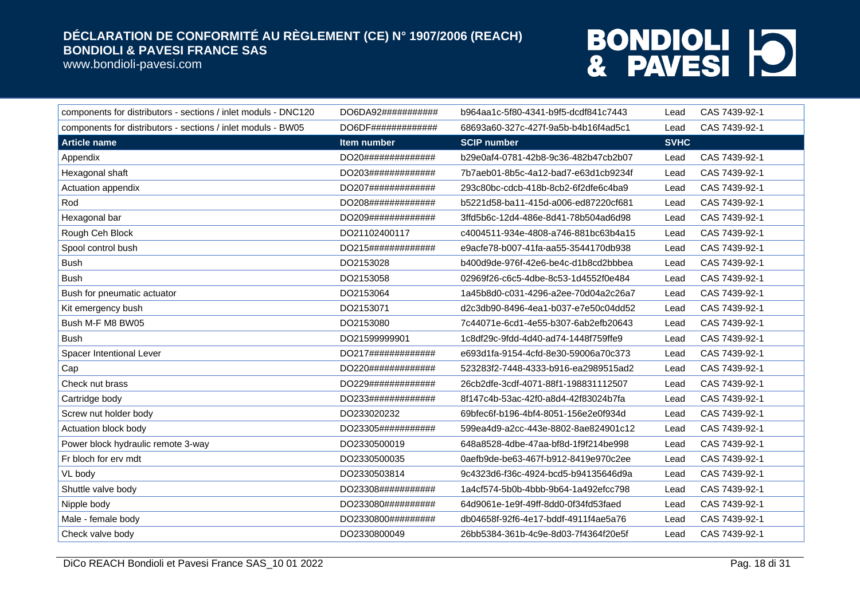www.bondioli-pavesi.com

| components for distributors - sections / inlet moduls - DNC120 | DO6DA92########### | b964aa1c-5f80-4341-b9f5-dcdf841c7443 | Lead        | CAS 7439-92-1 |
|----------------------------------------------------------------|--------------------|--------------------------------------|-------------|---------------|
| components for distributors - sections / inlet moduls - BW05   | DO6DF############# | 68693a60-327c-427f-9a5b-b4b16f4ad5c1 | Lead        | CAS 7439-92-1 |
| <b>Article name</b>                                            | Item number        | <b>SCIP number</b>                   | <b>SVHC</b> |               |
| Appendix                                                       | DO20############## | b29e0af4-0781-42b8-9c36-482b47cb2b07 | Lead        | CAS 7439-92-1 |
| Hexagonal shaft                                                | DO203############# | 7b7aeb01-8b5c-4a12-bad7-e63d1cb9234f | Lead        | CAS 7439-92-1 |
| Actuation appendix                                             | DO207############# | 293c80bc-cdcb-418b-8cb2-6f2dfe6c4ba9 | Lead        | CAS 7439-92-1 |
| Rod                                                            | DO208############# | b5221d58-ba11-415d-a006-ed87220cf681 | Lead        | CAS 7439-92-1 |
| Hexagonal bar                                                  | DO209############# | 3ffd5b6c-12d4-486e-8d41-78b504ad6d98 | Lead        | CAS 7439-92-1 |
| Rough Ceh Block                                                | DO21102400117      | c4004511-934e-4808-a746-881bc63b4a15 | Lead        | CAS 7439-92-1 |
| Spool control bush                                             | DO215############# | e9acfe78-b007-41fa-aa55-3544170db938 | Lead        | CAS 7439-92-1 |
| <b>Bush</b>                                                    | DO2153028          | b400d9de-976f-42e6-be4c-d1b8cd2bbbea | Lead        | CAS 7439-92-1 |
| <b>Bush</b>                                                    | DO2153058          | 02969f26-c6c5-4dbe-8c53-1d4552f0e484 | Lead        | CAS 7439-92-1 |
| Bush for pneumatic actuator                                    | DO2153064          | 1a45b8d0-c031-4296-a2ee-70d04a2c26a7 | Lead        | CAS 7439-92-1 |
| Kit emergency bush                                             | DO2153071          | d2c3db90-8496-4ea1-b037-e7e50c04dd52 | Lead        | CAS 7439-92-1 |
| Bush M-F M8 BW05                                               | DO2153080          | 7c44071e-6cd1-4e55-b307-6ab2efb20643 | Lead        | CAS 7439-92-1 |
| <b>Bush</b>                                                    | DO21599999901      | 1c8df29c-9fdd-4d40-ad74-1448f759ffe9 | Lead        | CAS 7439-92-1 |
| Spacer Intentional Lever                                       | DO217############# | e693d1fa-9154-4cfd-8e30-59006a70c373 | Lead        | CAS 7439-92-1 |
| Cap                                                            | DO220############# | 523283f2-7448-4333-b916-ea2989515ad2 | Lead        | CAS 7439-92-1 |
| Check nut brass                                                | DO229############# | 26cb2dfe-3cdf-4071-88f1-198831112507 | Lead        | CAS 7439-92-1 |
| Cartridge body                                                 | DO233############# | 8f147c4b-53ac-42f0-a8d4-42f83024b7fa | Lead        | CAS 7439-92-1 |
| Screw nut holder body                                          | DO233020232        | 69bfec6f-b196-4bf4-8051-156e2e0f934d | Lead        | CAS 7439-92-1 |
| Actuation block body                                           | DO23305########### | 599ea4d9-a2cc-443e-8802-8ae824901c12 | Lead        | CAS 7439-92-1 |
| Power block hydraulic remote 3-way                             | DO2330500019       | 648a8528-4dbe-47aa-bf8d-1f9f214be998 | Lead        | CAS 7439-92-1 |
| Fr bloch for erv mdt                                           | DO2330500035       | 0aefb9de-be63-467f-b912-8419e970c2ee | Lead        | CAS 7439-92-1 |
| VL body                                                        | DO2330503814       | 9c4323d6-f36c-4924-bcd5-b94135646d9a | Lead        | CAS 7439-92-1 |
| Shuttle valve body                                             | DO23308########### | 1a4cf574-5b0b-4bbb-9b64-1a492efcc798 | Lead        | CAS 7439-92-1 |
| Nipple body                                                    | DO233080########## | 64d9061e-1e9f-49ff-8dd0-0f34fd53faed | Lead        | CAS 7439-92-1 |
| Male - female body                                             | DO2330800######### | db04658f-92f6-4e17-bddf-4911f4ae5a76 | Lead        | CAS 7439-92-1 |
| Check valve body                                               | DO2330800049       | 26bb5384-361b-4c9e-8d03-7f4364f20e5f | Lead        | CAS 7439-92-1 |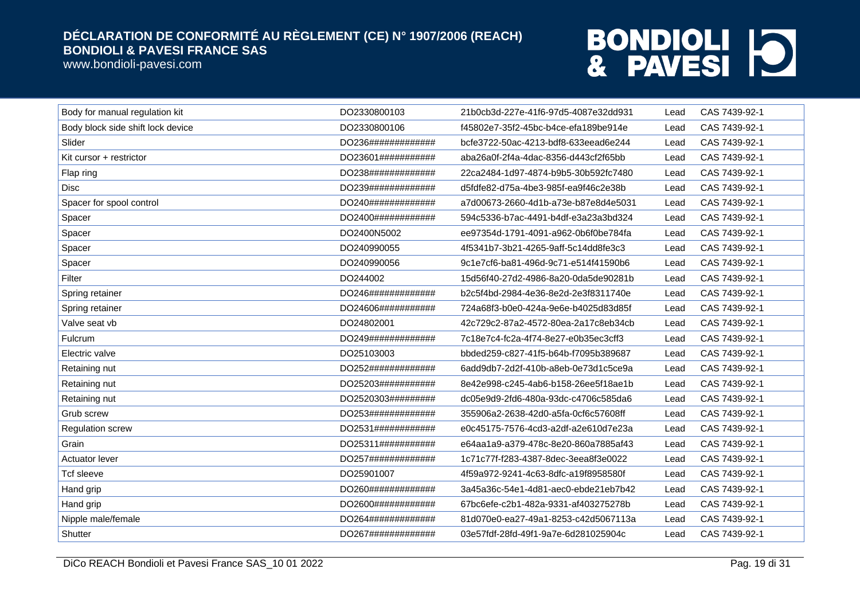www.bondioli-pavesi.com

| Body for manual regulation kit    | DO2330800103       | 21b0cb3d-227e-41f6-97d5-4087e32dd931 | Lead | CAS 7439-92-1 |
|-----------------------------------|--------------------|--------------------------------------|------|---------------|
| Body block side shift lock device | DO2330800106       | f45802e7-35f2-45bc-b4ce-efa189be914e | Lead | CAS 7439-92-1 |
| Slider                            | DO236############# | bcfe3722-50ac-4213-bdf8-633eead6e244 | Lead | CAS 7439-92-1 |
| Kit cursor + restrictor           | DO23601########### | aba26a0f-2f4a-4dac-8356-d443cf2f65bb | Lead | CAS 7439-92-1 |
| Flap ring                         | DO238############# | 22ca2484-1d97-4874-b9b5-30b592fc7480 | Lead | CAS 7439-92-1 |
| <b>Disc</b>                       | DO239############# | d5fdfe82-d75a-4be3-985f-ea9f46c2e38b | Lead | CAS 7439-92-1 |
| Spacer for spool control          | DO240############# | a7d00673-2660-4d1b-a73e-b87e8d4e5031 | Lead | CAS 7439-92-1 |
| Spacer                            | DO2400############ | 594c5336-b7ac-4491-b4df-e3a23a3bd324 | Lead | CAS 7439-92-1 |
| Spacer                            | DO2400N5002        | ee97354d-1791-4091-a962-0b6f0be784fa | Lead | CAS 7439-92-1 |
| Spacer                            | DO240990055        | 4f5341b7-3b21-4265-9aff-5c14dd8fe3c3 | Lead | CAS 7439-92-1 |
| Spacer                            | DO240990056        | 9c1e7cf6-ba81-496d-9c71-e514f41590b6 | Lead | CAS 7439-92-1 |
| Filter                            | DO244002           | 15d56f40-27d2-4986-8a20-0da5de90281b | Lead | CAS 7439-92-1 |
| Spring retainer                   | DO246############# | b2c5f4bd-2984-4e36-8e2d-2e3f8311740e | Lead | CAS 7439-92-1 |
| Spring retainer                   | DO24606########### | 724a68f3-b0e0-424a-9e6e-b4025d83d85f | Lead | CAS 7439-92-1 |
| Valve seat vb                     | DO24802001         | 42c729c2-87a2-4572-80ea-2a17c8eb34cb | Lead | CAS 7439-92-1 |
| Fulcrum                           | DO249############# | 7c18e7c4-fc2a-4f74-8e27-e0b35ec3cff3 | Lead | CAS 7439-92-1 |
| Electric valve                    | DO25103003         | bbded259-c827-41f5-b64b-f7095b389687 | Lead | CAS 7439-92-1 |
| Retaining nut                     | DO252############# | 6add9db7-2d2f-410b-a8eb-0e73d1c5ce9a | Lead | CAS 7439-92-1 |
| Retaining nut                     | DO25203########### | 8e42e998-c245-4ab6-b158-26ee5f18ae1b | Lead | CAS 7439-92-1 |
| Retaining nut                     | DO2520303######### | dc05e9d9-2fd6-480a-93dc-c4706c585da6 | Lead | CAS 7439-92-1 |
| Grub screw                        | DO253############# | 355906a2-2638-42d0-a5fa-0cf6c57608ff | Lead | CAS 7439-92-1 |
| <b>Regulation screw</b>           | DO2531############ | e0c45175-7576-4cd3-a2df-a2e610d7e23a | Lead | CAS 7439-92-1 |
| Grain                             | DO25311########### | e64aa1a9-a379-478c-8e20-860a7885af43 | Lead | CAS 7439-92-1 |
| Actuator lever                    | DO257############# | 1c71c77f-f283-4387-8dec-3eea8f3e0022 | Lead | CAS 7439-92-1 |
| <b>Tcf sleeve</b>                 | DO25901007         | 4f59a972-9241-4c63-8dfc-a19f8958580f | Lead | CAS 7439-92-1 |
| Hand grip                         | DO260############# | 3a45a36c-54e1-4d81-aec0-ebde21eb7b42 | Lead | CAS 7439-92-1 |
| Hand grip                         | DO2600############ | 67bc6efe-c2b1-482a-9331-af403275278b | Lead | CAS 7439-92-1 |
| Nipple male/female                | DO264############# | 81d070e0-ea27-49a1-8253-c42d5067113a | Lead | CAS 7439-92-1 |
| Shutter                           | DO267############# | 03e57fdf-28fd-49f1-9a7e-6d281025904c | Lead | CAS 7439-92-1 |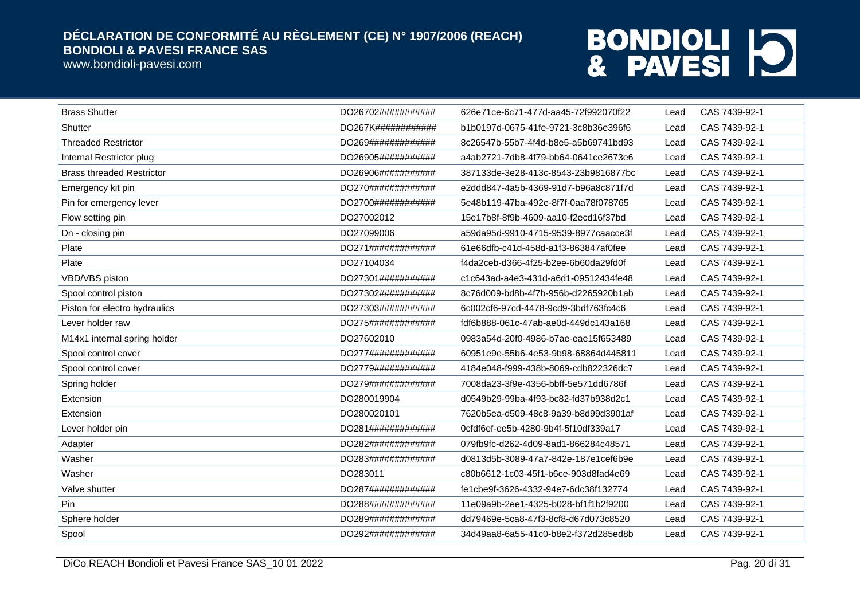www.bondioli-pavesi.com

| <b>Brass Shutter</b>             | DO26702########### | 626e71ce-6c71-477d-aa45-72f992070f22 | Lead | CAS 7439-92-1 |
|----------------------------------|--------------------|--------------------------------------|------|---------------|
| Shutter                          | DO267K############ | b1b0197d-0675-41fe-9721-3c8b36e396f6 | Lead | CAS 7439-92-1 |
| <b>Threaded Restrictor</b>       | DO269############# | 8c26547b-55b7-4f4d-b8e5-a5b69741bd93 | Lead | CAS 7439-92-1 |
| Internal Restrictor plug         | DO26905########### | a4ab2721-7db8-4f79-bb64-0641ce2673e6 | Lead | CAS 7439-92-1 |
| <b>Brass threaded Restrictor</b> | DO26906########### | 387133de-3e28-413c-8543-23b9816877bc | Lead | CAS 7439-92-1 |
| Emergency kit pin                | DO270############# | e2ddd847-4a5b-4369-91d7-b96a8c871f7d | Lead | CAS 7439-92-1 |
| Pin for emergency lever          | DO2700############ | 5e48b119-47ba-492e-8f7f-0aa78f078765 | Lead | CAS 7439-92-1 |
| Flow setting pin                 | DO27002012         | 15e17b8f-8f9b-4609-aa10-f2ecd16f37bd | Lead | CAS 7439-92-1 |
| Dn - closing pin                 | DO27099006         | a59da95d-9910-4715-9539-8977caacce3f | Lead | CAS 7439-92-1 |
| Plate                            | DO271############# | 61e66dfb-c41d-458d-a1f3-863847af0fee | Lead | CAS 7439-92-1 |
| Plate                            | DO27104034         | f4da2ceb-d366-4f25-b2ee-6b60da29fd0f | Lead | CAS 7439-92-1 |
| VBD/VBS piston                   | DO27301########### | c1c643ad-a4e3-431d-a6d1-09512434fe48 | Lead | CAS 7439-92-1 |
| Spool control piston             | DO27302########### | 8c76d009-bd8b-4f7b-956b-d2265920b1ab | Lead | CAS 7439-92-1 |
| Piston for electro hydraulics    | DO27303########### | 6c002cf6-97cd-4478-9cd9-3bdf763fc4c6 | Lead | CAS 7439-92-1 |
| Lever holder raw                 | DO275############# | fdf6b888-061c-47ab-ae0d-449dc143a168 | Lead | CAS 7439-92-1 |
| M14x1 internal spring holder     | DO27602010         | 0983a54d-20f0-4986-b7ae-eae15f653489 | Lead | CAS 7439-92-1 |
| Spool control cover              | DO277############# | 60951e9e-55b6-4e53-9b98-68864d445811 | Lead | CAS 7439-92-1 |
| Spool control cover              | DO2779############ | 4184e048-f999-438b-8069-cdb822326dc7 | Lead | CAS 7439-92-1 |
| Spring holder                    | DO279############# | 7008da23-3f9e-4356-bbff-5e571dd6786f | Lead | CAS 7439-92-1 |
| Extension                        | DO280019904        | d0549b29-99ba-4f93-bc82-fd37b938d2c1 | Lead | CAS 7439-92-1 |
| Extension                        | DO280020101        | 7620b5ea-d509-48c8-9a39-b8d99d3901af | Lead | CAS 7439-92-1 |
| Lever holder pin                 | DO281############# | 0cfdf6ef-ee5b-4280-9b4f-5f10df339a17 | Lead | CAS 7439-92-1 |
| Adapter                          | DO282############# | 079fb9fc-d262-4d09-8ad1-866284c48571 | Lead | CAS 7439-92-1 |
| Washer                           | DO283############# | d0813d5b-3089-47a7-842e-187e1cef6b9e | Lead | CAS 7439-92-1 |
| Washer                           | DO283011           | c80b6612-1c03-45f1-b6ce-903d8fad4e69 | Lead | CAS 7439-92-1 |
| Valve shutter                    | DO287############# | fe1cbe9f-3626-4332-94e7-6dc38f132774 | Lead | CAS 7439-92-1 |
| Pin                              | DO288############# | 11e09a9b-2ee1-4325-b028-bf1f1b2f9200 | Lead | CAS 7439-92-1 |
| Sphere holder                    | DO289############# | dd79469e-5ca8-47f3-8cf8-d67d073c8520 | Lead | CAS 7439-92-1 |
| Spool                            | DO292############# | 34d49aa8-6a55-41c0-b8e2-f372d285ed8b | Lead | CAS 7439-92-1 |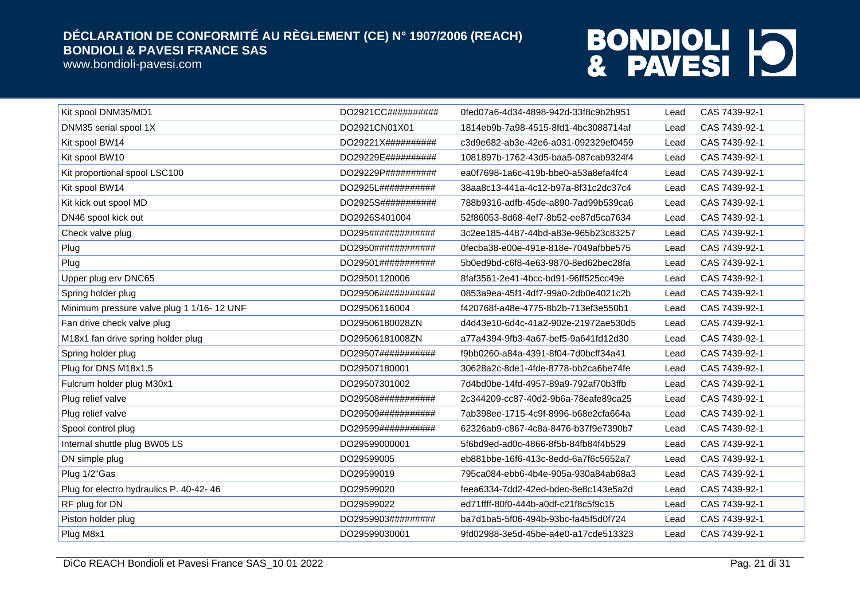www.bondioli-pavesi.com

| Kit spool DNM35/MD1                        | DO2921CC##########  | 0fed07a6-4d34-4898-942d-33f8c9b2b951 | Lead | CAS 7439-92-1 |
|--------------------------------------------|---------------------|--------------------------------------|------|---------------|
| DNM35 serial spool 1X                      | DO2921CN01X01       | 1814eb9b-7a98-4515-8fd1-4bc3088714af | Lead | CAS 7439-92-1 |
| Kit spool BW14                             | DO29221X##########  | c3d9e682-ab3e-42e6-a031-092329ef0459 | Lead | CAS 7439-92-1 |
| Kit spool BW10                             | DO29229E##########  | 1081897b-1762-43d5-baa5-087cab9324f4 | Lead | CAS 7439-92-1 |
| Kit proportional spool LSC100              | DO29229P##########  | ea0f7698-1a6c-419b-bbe0-a53a8efa4fc4 | Lead | CAS 7439-92-1 |
| Kit spool BW14                             | DO2925L###########  | 38aa8c13-441a-4c12-b97a-8f31c2dc37c4 | Lead | CAS 7439-92-1 |
| Kit kick out spool MD                      | DO2925S###########  | 788b9316-adfb-45de-a890-7ad99b539ca6 | Lead | CAS 7439-92-1 |
| DN46 spool kick out                        | DO2926S401004       | 52f86053-8d68-4ef7-8b52-ee87d5ca7634 | Lead | CAS 7439-92-1 |
| Check valve plug                           | DO295#############  | 3c2ee185-4487-44bd-a83e-965b23c83257 | Lead | CAS 7439-92-1 |
| Plug                                       | DO2950############  | 0fecba38-e00e-491e-818e-7049afbbe575 | Lead | CAS 7439-92-1 |
| Plug                                       | DO29501###########  | 5b0ed9bd-c6f8-4e63-9870-8ed62bec28fa | Lead | CAS 7439-92-1 |
| Upper plug erv DNC65                       | DO29501120006       | 8faf3561-2e41-4bcc-bd91-96ff525cc49e | Lead | CAS 7439-92-1 |
| Spring holder plug                         | DO29506############ | 0853a9ea-45f1-4df7-99a0-2db0e4021c2b | Lead | CAS 7439-92-1 |
| Minimum pressure valve plug 1 1/16- 12 UNF | DO29506116004       | f420768f-a48e-4775-8b2b-713ef3e550b1 | Lead | CAS 7439-92-1 |
| Fan drive check valve plug                 | DO29506180028ZN     | d4d43e10-6d4c-41a2-902e-21972ae530d5 | Lead | CAS 7439-92-1 |
| M18x1 fan drive spring holder plug         | DO29506181008ZN     | a77a4394-9fb3-4a67-bef5-9a641fd12d30 | Lead | CAS 7439-92-1 |
| Spring holder plug                         | DO29507###########  | f9bb0260-a84a-4391-8f04-7d0bcff34a41 | Lead | CAS 7439-92-1 |
| Plug for DNS M18x1.5                       | DO29507180001       | 30628a2c-8de1-4fde-8778-bb2ca6be74fe | Lead | CAS 7439-92-1 |
| Fulcrum holder plug M30x1                  | DO29507301002       | 7d4bd0be-14fd-4957-89a9-792af70b3ffb | Lead | CAS 7439-92-1 |
| Plug relief valve                          | DO29508###########  | 2c344209-cc87-40d2-9b6a-78eafe89ca25 | Lead | CAS 7439-92-1 |
| Plug relief valve                          | DO29509###########  | 7ab398ee-1715-4c9f-8996-b68e2cfa664a | Lead | CAS 7439-92-1 |
| Spool control plug                         | DO29599###########  | 62326ab9-c867-4c8a-8476-b37f9e7390b7 | Lead | CAS 7439-92-1 |
| Internal shuttle plug BW05 LS              | DO29599000001       | 5f6bd9ed-ad0c-4866-8f5b-84fb84f4b529 | Lead | CAS 7439-92-1 |
| DN simple plug                             | DO29599005          | eb881bbe-16f6-413c-8edd-6a7f6c5652a7 | Lead | CAS 7439-92-1 |
| Plug 1/2"Gas                               | DO29599019          | 795ca084-ebb6-4b4e-905a-930a84ab68a3 | Lead | CAS 7439-92-1 |
| Plug for electro hydraulics P. 40-42-46    | DO29599020          | feea6334-7dd2-42ed-bdec-8e8c143e5a2d | Lead | CAS 7439-92-1 |
| RF plug for DN                             | DO29599022          | ed71ffff-80f0-444b-a0df-c21f8c5f9c15 | Lead | CAS 7439-92-1 |
| Piston holder plug                         | DO2959903#########  | ba7d1ba5-5f06-494b-93bc-fa45f5d0f724 | Lead | CAS 7439-92-1 |
| Plug M8x1                                  | DO29599030001       | 9fd02988-3e5d-45be-a4e0-a17cde513323 | Lead | CAS 7439-92-1 |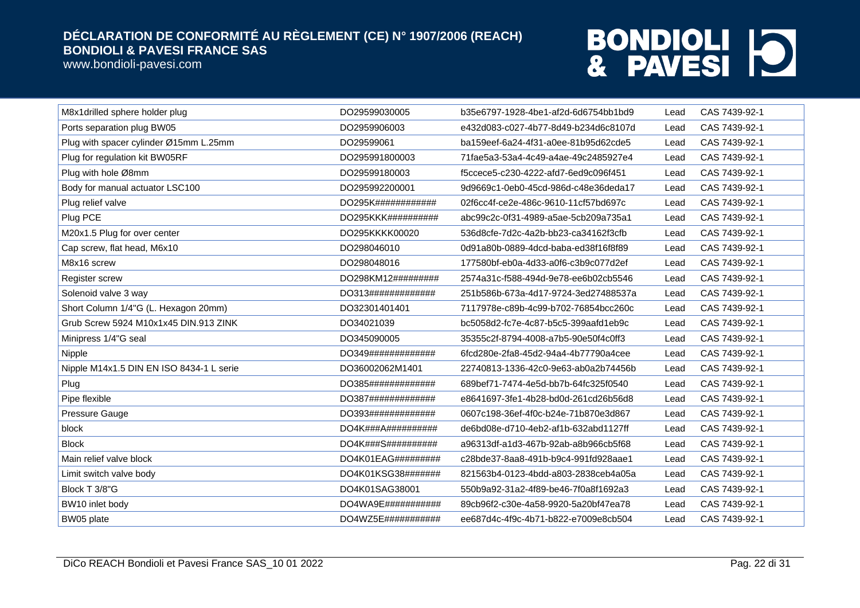www.bondioli-pavesi.com

| M8x1drilled sphere holder plug           | DO29599030005                 | b35e6797-1928-4be1-af2d-6d6754bb1bd9 | Lead | CAS 7439-92-1 |
|------------------------------------------|-------------------------------|--------------------------------------|------|---------------|
| Ports separation plug BW05               | DO2959906003                  | e432d083-c027-4b77-8d49-b234d6c8107d | Lead | CAS 7439-92-1 |
| Plug with spacer cylinder Ø15mm L.25mm   | DO29599061                    | ba159eef-6a24-4f31-a0ee-81b95d62cde5 | Lead | CAS 7439-92-1 |
| Plug for regulation kit BW05RF           | DO295991800003                | 71fae5a3-53a4-4c49-a4ae-49c2485927e4 | Lead | CAS 7439-92-1 |
| Plug with hole Ø8mm                      | DO29599180003                 | f5ccece5-c230-4222-afd7-6ed9c096f451 | Lead | CAS 7439-92-1 |
| Body for manual actuator LSC100          | DO295992200001                | 9d9669c1-0eb0-45cd-986d-c48e36deda17 | Lead | CAS 7439-92-1 |
| Plug relief valve                        | DO295K############            | 02f6cc4f-ce2e-486c-9610-11cf57bd697c | Lead | CAS 7439-92-1 |
| Plug PCE                                 | DO295KKK##########            | abc99c2c-0f31-4989-a5ae-5cb209a735a1 | Lead | CAS 7439-92-1 |
| M20x1.5 Plug for over center             | DO295KKKK00020                | 536d8cfe-7d2c-4a2b-bb23-ca34162f3cfb | Lead | CAS 7439-92-1 |
| Cap screw, flat head, M6x10              | DO298046010                   | 0d91a80b-0889-4dcd-baba-ed38f16f8f89 | Lead | CAS 7439-92-1 |
| M8x16 screw                              | DO298048016                   | 177580bf-eb0a-4d33-a0f6-c3b9c077d2ef | Lead | CAS 7439-92-1 |
| Register screw                           | DO298KM12#########            | 2574a31c-f588-494d-9e78-ee6b02cb5546 | Lead | CAS 7439-92-1 |
| Solenoid valve 3 way                     | DO313#############            | 251b586b-673a-4d17-9724-3ed27488537a | Lead | CAS 7439-92-1 |
| Short Column 1/4"G (L. Hexagon 20mm)     | DO32301401401                 | 7117978e-c89b-4c99-b702-76854bcc260c | Lead | CAS 7439-92-1 |
| Grub Screw 5924 M10x1x45 DIN.913 ZINK    | DO34021039                    | bc5058d2-fc7e-4c87-b5c5-399aafd1eb9c | Lead | CAS 7439-92-1 |
| Minipress 1/4"G seal                     | DO345090005                   | 35355c2f-8794-4008-a7b5-90e50f4c0ff3 | Lead | CAS 7439-92-1 |
| Nipple                                   | DO349#############            | 6fcd280e-2fa8-45d2-94a4-4b77790a4cee | Lead | CAS 7439-92-1 |
| Nipple M14x1.5 DIN EN ISO 8434-1 L serie | DO36002062M1401               | 22740813-1336-42c0-9e63-ab0a2b74456b | Lead | CAS 7439-92-1 |
| Plug                                     | DO385#############            | 689bef71-7474-4e5d-bb7b-64fc325f0540 | Lead | CAS 7439-92-1 |
| Pipe flexible                            | DO387#############            | e8641697-3fe1-4b28-bd0d-261cd26b56d8 | Lead | CAS 7439-92-1 |
| Pressure Gauge                           | DO393#############            | 0607c198-36ef-4f0c-b24e-71b870e3d867 | Lead | CAS 7439-92-1 |
| block                                    | DO4K###A###########           | de6bd08e-d710-4eb2-af1b-632abd1127ff | Lead | CAS 7439-92-1 |
| <b>Block</b>                             | DO4K###S##########            | a96313df-a1d3-467b-92ab-a8b966cb5f68 | Lead | CAS 7439-92-1 |
| Main relief valve block                  | DO4K01EAG#########            | c28bde37-8aa8-491b-b9c4-991fd928aae1 | Lead | CAS 7439-92-1 |
| Limit switch valve body                  | DO4K01KSG38#######            | 821563b4-0123-4bdd-a803-2838ceb4a05a | Lead | CAS 7439-92-1 |
| Block T 3/8"G                            | DO4K01SAG38001                | 550b9a92-31a2-4f89-be46-7f0a8f1692a3 | Lead | CAS 7439-92-1 |
| BW10 inlet body                          | DO4WA9E###########            | 89cb96f2-c30e-4a58-9920-5a20bf47ea78 | Lead | CAS 7439-92-1 |
| BW05 plate                               | DO4WZ5E## # # # # # # # # # # | ee687d4c-4f9c-4b71-b822-e7009e8cb504 | Lead | CAS 7439-92-1 |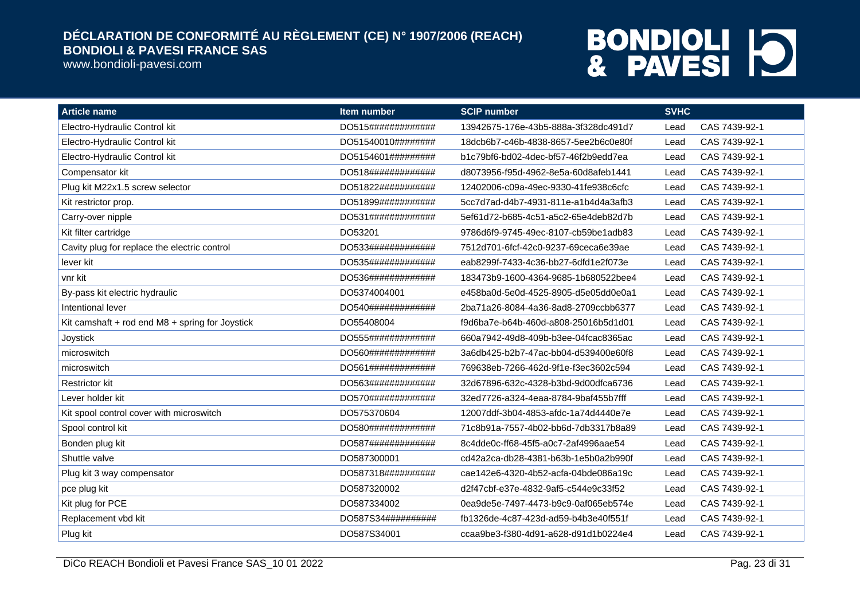www.bondioli-pavesi.com

| <b>Article name</b>                             | Item number        | <b>SCIP number</b>                   | <b>SVHC</b> |               |
|-------------------------------------------------|--------------------|--------------------------------------|-------------|---------------|
| Electro-Hydraulic Control kit                   | DO515############# | 13942675-176e-43b5-888a-3f328dc491d7 | Lead        | CAS 7439-92-1 |
| Electro-Hydraulic Control kit                   | DO51540010######## | 18dcb6b7-c46b-4838-8657-5ee2b6c0e80f | Lead        | CAS 7439-92-1 |
| Electro-Hydraulic Control kit                   | DO5154601######### | b1c79bf6-bd02-4dec-bf57-46f2b9edd7ea | Lead        | CAS 7439-92-1 |
| Compensator kit                                 | DO518############# | d8073956-f95d-4962-8e5a-60d8afeb1441 | Lead        | CAS 7439-92-1 |
| Plug kit M22x1.5 screw selector                 | DO51822########### | 12402006-c09a-49ec-9330-41fe938c6cfc | Lead        | CAS 7439-92-1 |
| Kit restrictor prop.                            | DO51899########### | 5cc7d7ad-d4b7-4931-811e-a1b4d4a3afb3 | Lead        | CAS 7439-92-1 |
| Carry-over nipple                               | DO531############# | 5ef61d72-b685-4c51-a5c2-65e4deb82d7b | Lead        | CAS 7439-92-1 |
| Kit filter cartridge                            | DO53201            | 9786d6f9-9745-49ec-8107-cb59be1adb83 | Lead        | CAS 7439-92-1 |
| Cavity plug for replace the electric control    | DO533############# | 7512d701-6fcf-42c0-9237-69ceca6e39ae | Lead        | CAS 7439-92-1 |
| lever kit                                       | DO535############# | eab8299f-7433-4c36-bb27-6dfd1e2f073e | Lead        | CAS 7439-92-1 |
| vnr kit                                         | DO536############# | 183473b9-1600-4364-9685-1b680522bee4 | Lead        | CAS 7439-92-1 |
| By-pass kit electric hydraulic                  | DO5374004001       | e458ba0d-5e0d-4525-8905-d5e05dd0e0a1 | Lead        | CAS 7439-92-1 |
| Intentional lever                               | DO540############# | 2ba71a26-8084-4a36-8ad8-2709ccbb6377 | Lead        | CAS 7439-92-1 |
| Kit camshaft + rod end M8 + spring for Joystick | DO55408004         | f9d6ba7e-b64b-460d-a808-25016b5d1d01 | Lead        | CAS 7439-92-1 |
| Joystick                                        | DO555############# | 660a7942-49d8-409b-b3ee-04fcac8365ac | Lead        | CAS 7439-92-1 |
| microswitch                                     | DO560############# | 3a6db425-b2b7-47ac-bb04-d539400e60f8 | Lead        | CAS 7439-92-1 |
| microswitch                                     | DO561############# | 769638eb-7266-462d-9f1e-f3ec3602c594 | Lead        | CAS 7439-92-1 |
| <b>Restrictor kit</b>                           | DO563############# | 32d67896-632c-4328-b3bd-9d00dfca6736 | Lead        | CAS 7439-92-1 |
| Lever holder kit                                | DO570############# | 32ed7726-a324-4eaa-8784-9baf455b7fff | Lead        | CAS 7439-92-1 |
| Kit spool control cover with microswitch        | DO575370604        | 12007ddf-3b04-4853-afdc-1a74d4440e7e | Lead        | CAS 7439-92-1 |
| Spool control kit                               | DO580############# | 71c8b91a-7557-4b02-bb6d-7db3317b8a89 | Lead        | CAS 7439-92-1 |
| Bonden plug kit                                 | DO587############# | 8c4dde0c-ff68-45f5-a0c7-2af4996aae54 | Lead        | CAS 7439-92-1 |
| Shuttle valve                                   | DO587300001        | cd42a2ca-db28-4381-b63b-1e5b0a2b990f | Lead        | CAS 7439-92-1 |
| Plug kit 3 way compensator                      | DO587318########## | cae142e6-4320-4b52-acfa-04bde086a19c | Lead        | CAS 7439-92-1 |
| pce plug kit                                    | DO587320002        | d2f47cbf-e37e-4832-9af5-c544e9c33f52 | Lead        | CAS 7439-92-1 |
| Kit plug for PCE                                | DO587334002        | 0ea9de5e-7497-4473-b9c9-0af065eb574e | Lead        | CAS 7439-92-1 |
| Replacement vbd kit                             | DO587S34########## | fb1326de-4c87-423d-ad59-b4b3e40f551f | Lead        | CAS 7439-92-1 |
| Plug kit                                        | DO587S34001        | ccaa9be3-f380-4d91-a628-d91d1b0224e4 | Lead        | CAS 7439-92-1 |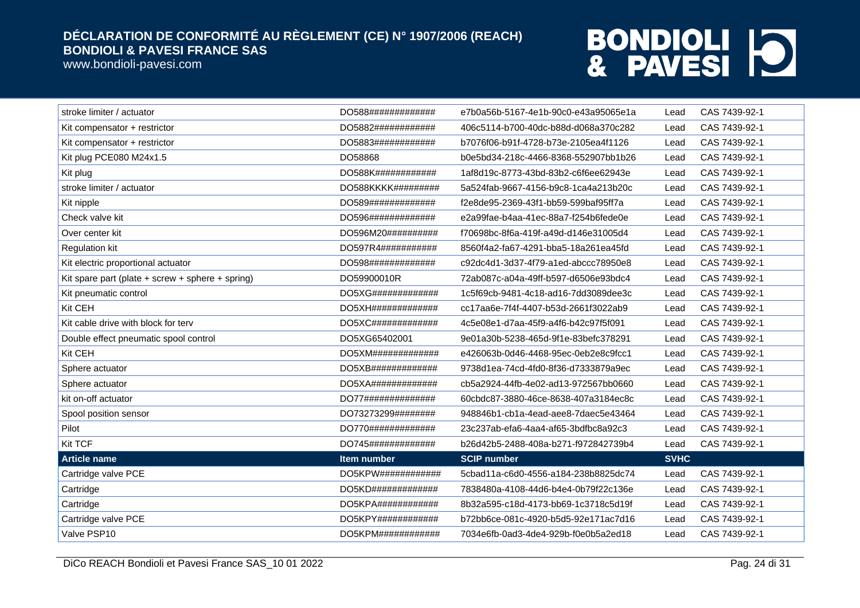www.bondioli-pavesi.com

| stroke limiter / actuator                              | DO588#############                 | e7b0a56b-5167-4e1b-90c0-e43a95065e1a | Lead        | CAS 7439-92-1 |
|--------------------------------------------------------|------------------------------------|--------------------------------------|-------------|---------------|
| Kit compensator + restrictor                           | DO5882############                 | 406c5114-b700-40dc-b88d-d068a370c282 | Lead        | CAS 7439-92-1 |
| Kit compensator + restrictor                           | DO5883############                 | b7076f06-b91f-4728-b73e-2105ea4f1126 | Lead        | CAS 7439-92-1 |
| Kit plug PCE080 M24x1.5                                | DO58868                            | b0e5bd34-218c-4466-8368-552907bb1b26 | Lead        | CAS 7439-92-1 |
| Kit plug                                               | DO588K############                 | 1af8d19c-8773-43bd-83b2-c6f6ee62943e | Lead        | CAS 7439-92-1 |
| stroke limiter / actuator                              | DO588KKKK#########                 | 5a524fab-9667-4156-b9c8-1ca4a213b20c | Lead        | CAS 7439-92-1 |
| Kit nipple                                             | DO589#############                 | f2e8de95-2369-43f1-bb59-599baf95ff7a | Lead        | CAS 7439-92-1 |
| Check valve kit                                        | DO596#############                 | e2a99fae-b4aa-41ec-88a7-f254b6fede0e | Lead        | CAS 7439-92-1 |
| Over center kit                                        | DO596M20###########                | f70698bc-8f6a-419f-a49d-d146e31005d4 | Lead        | CAS 7439-92-1 |
| <b>Regulation kit</b>                                  | DO597R4###########                 | 8560f4a2-fa67-4291-bba5-18a261ea45fd | Lead        | CAS 7439-92-1 |
| Kit electric proportional actuator                     | DO598#############                 | c92dc4d1-3d37-4f79-a1ed-abccc78950e8 | Lead        | CAS 7439-92-1 |
| Kit spare part (plate $+$ screw $+$ sphere $+$ spring) | DO59900010R                        | 72ab087c-a04a-49ff-b597-d6506e93bdc4 | Lead        | CAS 7439-92-1 |
| Kit pneumatic control                                  | DO5XG#############                 | 1c5f69cb-9481-4c18-ad16-7dd3089dee3c | Lead        | CAS 7439-92-1 |
| Kit CEH                                                | DO5XH##############                | cc17aa6e-7f4f-4407-b53d-2661f3022ab9 | Lead        | CAS 7439-92-1 |
| Kit cable drive with block for terv                    | DO5XC#############                 | 4c5e08e1-d7aa-45f9-a4f6-b42c97f5f091 | Lead        | CAS 7439-92-1 |
| Double effect pneumatic spool control                  | DO5XG65402001                      | 9e01a30b-5238-465d-9f1e-83befc378291 | Lead        | CAS 7439-92-1 |
| Kit CEH                                                | DO5XM# # # # # # # # # # # # # # # | e426063b-0d46-4468-95ec-0eb2e8c9fcc1 | Lead        | CAS 7439-92-1 |
| Sphere actuator                                        | DO5XB#############                 | 9738d1ea-74cd-4fd0-8f36-d7333879a9ec | Lead        | CAS 7439-92-1 |
| Sphere actuator                                        | DO5XA#############                 | cb5a2924-44fb-4e02-ad13-972567bb0660 | Lead        | CAS 7439-92-1 |
| kit on-off actuator                                    | DO77##############                 | 60cbdc87-3880-46ce-8638-407a3184ec8c | Lead        | CAS 7439-92-1 |
| Spool position sensor                                  | DO73273299########                 | 948846b1-cb1a-4ead-aee8-7daec5e43464 | Lead        | CAS 7439-92-1 |
| Pilot                                                  | DO770#############                 | 23c237ab-efa6-4aa4-af65-3bdfbc8a92c3 | Lead        | CAS 7439-92-1 |
| <b>Kit TCF</b>                                         | DO745#############                 | b26d42b5-2488-408a-b271-f972842739b4 | Lead        | CAS 7439-92-1 |
| <b>Article name</b>                                    | <b>Item number</b>                 | <b>SCIP number</b>                   | <b>SVHC</b> |               |
| Cartridge valve PCE                                    | DO5KPW############                 | 5cbad11a-c6d0-4556-a184-238b8825dc74 | Lead        | CAS 7439-92-1 |
| Cartridge                                              | DO5KD#############                 | 7838480a-4108-44d6-b4e4-0b79f22c136e | Lead        | CAS 7439-92-1 |
| Cartridge                                              | DO5KPA############                 | 8b32a595-c18d-4173-bb69-1c3718c5d19f | Lead        | CAS 7439-92-1 |
| Cartridge valve PCE                                    | DO5KPY# # # # # # # # # # # # # #  | b72bb6ce-081c-4920-b5d5-92e171ac7d16 | Lead        | CAS 7439-92-1 |
| Valve PSP10                                            | DO5KPM############                 | 7034e6fb-0ad3-4de4-929b-f0e0b5a2ed18 | Lead        | CAS 7439-92-1 |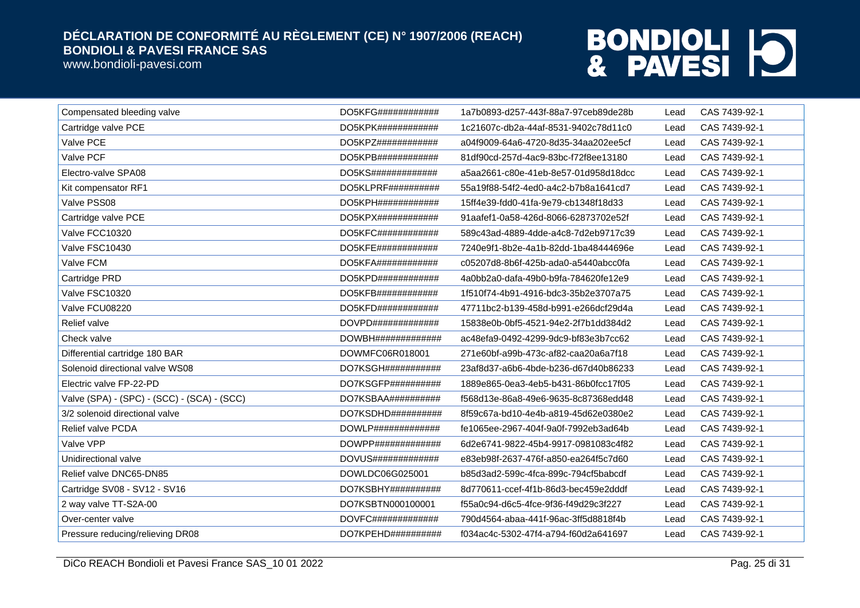www.bondioli-pavesi.com

| Compensated bleeding valve                  | DO5KFG############     | 1a7b0893-d257-443f-88a7-97ceb89de28b | Lead | CAS 7439-92-1 |
|---------------------------------------------|------------------------|--------------------------------------|------|---------------|
| Cartridge valve PCE                         | DO5KPK############     | 1c21607c-db2a-44af-8531-9402c78d11c0 | Lead | CAS 7439-92-1 |
| Valve PCE                                   | DO5KPZ############     | a04f9009-64a6-4720-8d35-34aa202ee5cf | Lead | CAS 7439-92-1 |
| Valve PCF                                   | DO5KPB############     | 81df90cd-257d-4ac9-83bc-f72f8ee13180 | Lead | CAS 7439-92-1 |
| Electro-valve SPA08                         | DO5KS#############     | a5aa2661-c80e-41eb-8e57-01d958d18dcc | Lead | CAS 7439-92-1 |
| Kit compensator RF1                         | $DO5KLPRF$ ##########  | 55a19f88-54f2-4ed0-a4c2-b7b8a1641cd7 | Lead | CAS 7439-92-1 |
| Valve PSS08                                 | DO5KPH############     | 15ff4e39-fdd0-41fa-9e79-cb1348f18d33 | Lead | CAS 7439-92-1 |
| Cartridge valve PCE                         | $DO5KPX$ ############# | 91aafef1-0a58-426d-8066-62873702e52f | Lead | CAS 7439-92-1 |
| Valve FCC10320                              | DO5KFC############     | 589c43ad-4889-4dde-a4c8-7d2eb9717c39 | Lead | CAS 7439-92-1 |
| Valve FSC10430                              | DO5KFE############     | 7240e9f1-8b2e-4a1b-82dd-1ba48444696e | Lead | CAS 7439-92-1 |
| Valve FCM                                   | $DO5KFA$ ############  | c05207d8-8b6f-425b-ada0-a5440abcc0fa | Lead | CAS 7439-92-1 |
| Cartridge PRD                               | DO5KPD############     | 4a0bb2a0-dafa-49b0-b9fa-784620fe12e9 | Lead | CAS 7439-92-1 |
| Valve FSC10320                              | DO5KFB############     | 1f510f74-4b91-4916-bdc3-35b2e3707a75 | Lead | CAS 7439-92-1 |
| Valve FCU08220                              | DO5KFD############     | 47711bc2-b139-458d-b991-e266dcf29d4a | Lead | CAS 7439-92-1 |
| Relief valve                                |                        | 15838e0b-0bf5-4521-94e2-2f7b1dd384d2 | Lead | CAS 7439-92-1 |
| Check valve                                 |                        | ac48efa9-0492-4299-9dc9-bf83e3b7cc62 | Lead | CAS 7439-92-1 |
| Differential cartridge 180 BAR              | DOWMFC06R018001        | 271e60bf-a99b-473c-af82-caa20a6a7f18 | Lead | CAS 7439-92-1 |
| Solenoid directional valve WS08             | DO7KSGH###########     | 23af8d37-a6b6-4bde-b236-d67d40b86233 | Lead | CAS 7439-92-1 |
| Electric valve FP-22-PD                     | DO7KSGFP##########     | 1889e865-0ea3-4eb5-b431-86b0fcc17f05 | Lead | CAS 7439-92-1 |
| Valve (SPA) - (SPC) - (SCC) - (SCA) - (SCC) | DO7KSBAA##########     | f568d13e-86a8-49e6-9635-8c87368edd48 | Lead | CAS 7439-92-1 |
| 3/2 solenoid directional valve              | DO7KSDHD##########     | 8f59c67a-bd10-4e4b-a819-45d62e0380e2 | Lead | CAS 7439-92-1 |
| Relief valve PCDA                           | $DOWLP$ ############## | fe1065ee-2967-404f-9a0f-7992eb3ad64b | Lead | CAS 7439-92-1 |
| Valve VPP                                   |                        | 6d2e6741-9822-45b4-9917-0981083c4f82 | Lead | CAS 7439-92-1 |
| Unidirectional valve                        | DOVUS#############     | e83eb98f-2637-476f-a850-ea264f5c7d60 | Lead | CAS 7439-92-1 |
| Relief valve DNC65-DN85                     | DOWLDC06G025001        | b85d3ad2-599c-4fca-899c-794cf5babcdf | Lead | CAS 7439-92-1 |
| Cartridge SV08 - SV12 - SV16                | DO7KSBHY##########     | 8d770611-ccef-4f1b-86d3-bec459e2dddf | Lead | CAS 7439-92-1 |
| 2 way valve TT-S2A-00                       | DO7KSBTN000100001      | f55a0c94-d6c5-4fce-9f36-f49d29c3f227 | Lead | CAS 7439-92-1 |
| Over-center valve                           | $DOVFC$ ############## | 790d4564-abaa-441f-96ac-3ff5d8818f4b | Lead | CAS 7439-92-1 |
| Pressure reducing/relieving DR08            | DO7KPEHD##########     | f034ac4c-5302-47f4-a794-f60d2a641697 | Lead | CAS 7439-92-1 |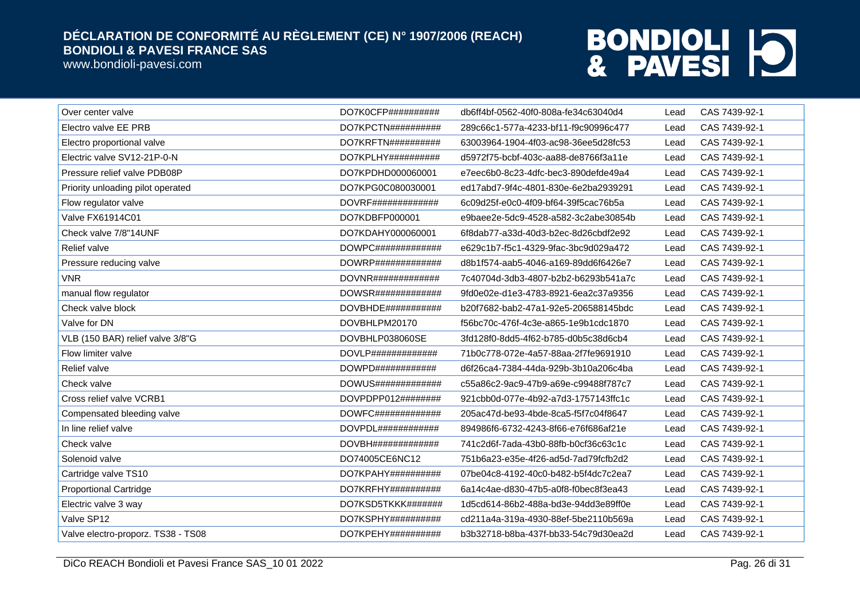www.bondioli-pavesi.com

| Over center valve                  | DO7K0CFP##########           | db6ff4bf-0562-40f0-808a-fe34c63040d4 | Lead | CAS 7439-92-1 |
|------------------------------------|------------------------------|--------------------------------------|------|---------------|
| Electro valve EE PRB               | DO7KPCTN##########           | 289c66c1-577a-4233-bf11-f9c90996c477 | Lead | CAS 7439-92-1 |
| Electro proportional valve         | DO7KRFTN##########           | 63003964-1904-4f03-ac98-36ee5d28fc53 | Lead | CAS 7439-92-1 |
| Electric valve SV12-21P-0-N        | DO7KPLHY##########           | d5972f75-bcbf-403c-aa88-de8766f3a11e | Lead | CAS 7439-92-1 |
| Pressure relief valve PDB08P       | DO7KPDHD000060001            | e7eec6b0-8c23-4dfc-bec3-890defde49a4 | Lead | CAS 7439-92-1 |
| Priority unloading pilot operated  | DO7KPG0C080030001            | ed17abd7-9f4c-4801-830e-6e2ba2939291 | Lead | CAS 7439-92-1 |
| Flow regulator valve               | DOVRF###############         | 6c09d25f-e0c0-4f09-bf64-39f5cac76b5a | Lead | CAS 7439-92-1 |
| Valve FX61914C01                   | DO7KDBFP000001               | e9baee2e-5dc9-4528-a582-3c2abe30854b | Lead | CAS 7439-92-1 |
| Check valve 7/8"14UNF              | DO7KDAHY000060001            | 6f8dab77-a33d-40d3-b2ec-8d26cbdf2e92 | Lead | CAS 7439-92-1 |
| Relief valve                       | $DOWPC\#4\#4\#4\#4\#4\#4\#4$ | e629c1b7-f5c1-4329-9fac-3bc9d029a472 | Lead | CAS 7439-92-1 |
| Pressure reducing valve            | $DOWRP$ ##############       | d8b1f574-aab5-4046-a169-89dd6f6426e7 | Lead | CAS 7439-92-1 |
| <b>VNR</b>                         | DOVNR#############           | 7c40704d-3db3-4807-b2b2-b6293b541a7c | Lead | CAS 7439-92-1 |
| manual flow regulator              | DOWSR#############           | 9fd0e02e-d1e3-4783-8921-6ea2c37a9356 | Lead | CAS 7439-92-1 |
| Check valve block                  | DOVBHDE###########           | b20f7682-bab2-47a1-92e5-206588145bdc | Lead | CAS 7439-92-1 |
| Valve for DN                       | DOVBHLPM20170                | f56bc70c-476f-4c3e-a865-1e9b1cdc1870 | Lead | CAS 7439-92-1 |
| VLB (150 BAR) relief valve 3/8"G   | DOVBHLP038060SE              | 3fd128f0-8dd5-4f62-b785-d0b5c38d6cb4 | Lead | CAS 7439-92-1 |
| Flow limiter valve                 | $DOVLP$ ##############       | 71b0c778-072e-4a57-88aa-2f7fe9691910 | Lead | CAS 7439-92-1 |
| Relief valve                       | DOWPD############            | d6f26ca4-7384-44da-929b-3b10a206c4ba | Lead | CAS 7439-92-1 |
| Check valve                        | DOWUS#############           | c55a86c2-9ac9-47b9-a69e-c99488f787c7 | Lead | CAS 7439-92-1 |
| Cross relief valve VCRB1           | DOVPDPP012########           | 921cbb0d-077e-4b92-a7d3-1757143ffc1c | Lead | CAS 7439-92-1 |
| Compensated bleeding valve         | DOWFC#############           | 205ac47d-be93-4bde-8ca5-f5f7c04f8647 | Lead | CAS 7439-92-1 |
| In line relief valve               | DOVPDL############           | 894986f6-6732-4243-8f66-e76f686af21e | Lead | CAS 7439-92-1 |
| Check valve                        | DOVBH##############          | 741c2d6f-7ada-43b0-88fb-b0cf36c63c1c | Lead | CAS 7439-92-1 |
| Solenoid valve                     | DO74005CE6NC12               | 751b6a23-e35e-4f26-ad5d-7ad79fcfb2d2 | Lead | CAS 7439-92-1 |
| Cartridge valve TS10               | DO7KPAHY##########           | 07be04c8-4192-40c0-b482-b5f4dc7c2ea7 | Lead | CAS 7439-92-1 |
| <b>Proportional Cartridge</b>      | DO7KRFHY##########           | 6a14c4ae-d830-47b5-a0f8-f0bec8f3ea43 | Lead | CAS 7439-92-1 |
| Electric valve 3 way               | DO7KSD5TKKK#######           | 1d5cd614-86b2-488a-bd3e-94dd3e89ff0e | Lead | CAS 7439-92-1 |
| Valve SP12                         | DO7KSPHY##########           | cd211a4a-319a-4930-88ef-5be2110b569a | Lead | CAS 7439-92-1 |
| Valve electro-proporz. TS38 - TS08 | $DO7KPEHY$ ##########        | b3b32718-b8ba-437f-bb33-54c79d30ea2d | Lead | CAS 7439-92-1 |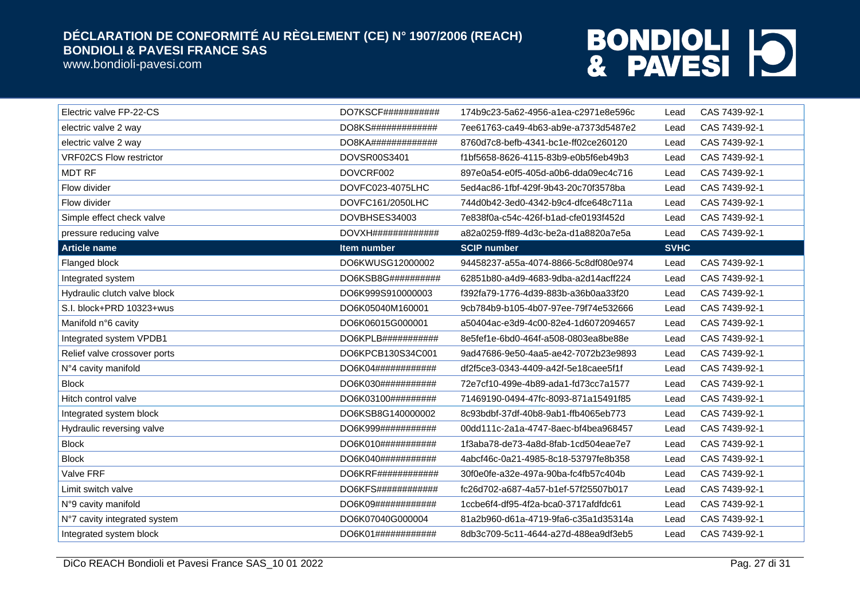www.bondioli-pavesi.com

| Electric valve FP-22-CS        | DO7KSCF###########     | 174b9c23-5a62-4956-a1ea-c2971e8e596c | Lead        | CAS 7439-92-1 |
|--------------------------------|------------------------|--------------------------------------|-------------|---------------|
| electric valve 2 way           | DO8KS#############     | 7ee61763-ca49-4b63-ab9e-a7373d5487e2 | Lead        | CAS 7439-92-1 |
| electric valve 2 way           | $DO8KA$ ############## | 8760d7c8-befb-4341-bc1e-ff02ce260120 | Lead        | CAS 7439-92-1 |
| <b>VRF02CS Flow restrictor</b> | DOVSR00S3401           | f1bf5658-8626-4115-83b9-e0b5f6eb49b3 | Lead        | CAS 7439-92-1 |
| <b>MDT RF</b>                  | DOVCRF002              | 897e0a54-e0f5-405d-a0b6-dda09ec4c716 | Lead        | CAS 7439-92-1 |
| Flow divider                   | DOVFC023-4075LHC       | 5ed4ac86-1fbf-429f-9b43-20c70f3578ba | Lead        | CAS 7439-92-1 |
| Flow divider                   | DOVFC161/2050LHC       | 744d0b42-3ed0-4342-b9c4-dfce648c711a | Lead        | CAS 7439-92-1 |
| Simple effect check valve      | DOVBHSES34003          | 7e838f0a-c54c-426f-b1ad-cfe0193f452d | Lead        | CAS 7439-92-1 |
| pressure reducing valve        | DOVXH##############    | a82a0259-ff89-4d3c-be2a-d1a8820a7e5a | Lead        | CAS 7439-92-1 |
| <b>Article name</b>            | Item number            | <b>SCIP number</b>                   | <b>SVHC</b> |               |
| Flanged block                  | DO6KWUSG12000002       | 94458237-a55a-4074-8866-5c8df080e974 | Lead        | CAS 7439-92-1 |
| Integrated system              | DO6KSB8G##########     | 62851b80-a4d9-4683-9dba-a2d14acff224 | Lead        | CAS 7439-92-1 |
| Hydraulic clutch valve block   | DO6K999S910000003      | f392fa79-1776-4d39-883b-a36b0aa33f20 | Lead        | CAS 7439-92-1 |
| S.I. block+PRD 10323+wus       | DO6K05040M160001       | 9cb784b9-b105-4b07-97ee-79f74e532666 | Lead        | CAS 7439-92-1 |
| Manifold n°6 cavity            | DO6K06015G000001       | a50404ac-e3d9-4c00-82e4-1d6072094657 | Lead        | CAS 7439-92-1 |
| Integrated system VPDB1        | DO6KPLB###########     | 8e5fef1e-6bd0-464f-a508-0803ea8be88e | Lead        | CAS 7439-92-1 |
| Relief valve crossover ports   | DO6KPCB130S34C001      | 9ad47686-9e50-4aa5-ae42-7072b23e9893 | Lead        | CAS 7439-92-1 |
| N°4 cavity manifold            | DO6K04############     | df2f5ce3-0343-4409-a42f-5e18caee5f1f | Lead        | CAS 7439-92-1 |
| <b>Block</b>                   | DO6K030############    | 72e7cf10-499e-4b89-ada1-fd73cc7a1577 | Lead        | CAS 7439-92-1 |
| Hitch control valve            | DO6K03100##########    | 71469190-0494-47fc-8093-871a15491f85 | Lead        | CAS 7439-92-1 |
| Integrated system block        | DO6KSB8G140000002      | 8c93bdbf-37df-40b8-9ab1-ffb4065eb773 | Lead        | CAS 7439-92-1 |
| Hydraulic reversing valve      | DO6K999###########     | 00dd111c-2a1a-4747-8aec-bf4bea968457 | Lead        | CAS 7439-92-1 |
| <b>Block</b>                   | DO6K010############    | 1f3aba78-de73-4a8d-8fab-1cd504eae7e7 | Lead        | CAS 7439-92-1 |
| <b>Block</b>                   | DO6K040###########     | 4abcf46c-0a21-4985-8c18-53797fe8b358 | Lead        | CAS 7439-92-1 |
| Valve FRF                      | DO6KRF############     | 30f0e0fe-a32e-497a-90ba-fc4fb57c404b | Lead        | CAS 7439-92-1 |
| Limit switch valve             | DO6KFS############     | fc26d702-a687-4a57-b1ef-57f25507b017 | Lead        | CAS 7439-92-1 |
| N°9 cavity manifold            | DO6K09############     | 1ccbe6f4-df95-4f2a-bca0-3717afdfdc61 | Lead        | CAS 7439-92-1 |
| N°7 cavity integrated system   | DO6K07040G000004       | 81a2b960-d61a-4719-9fa6-c35a1d35314a | Lead        | CAS 7439-92-1 |
| Integrated system block        | DO6K01############     | 8db3c709-5c11-4644-a27d-488ea9df3eb5 | Lead        | CAS 7439-92-1 |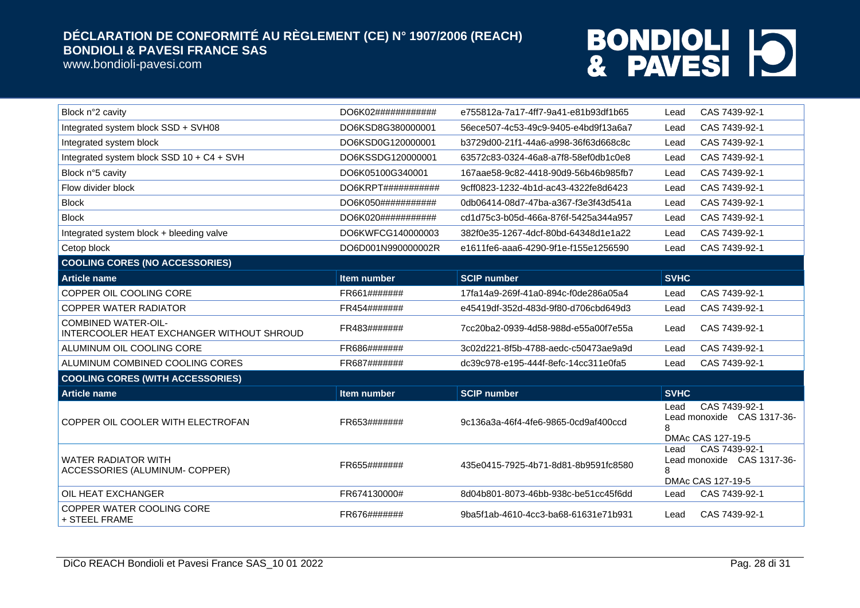www.bondioli-pavesi.com

| Block n°2 cavity                                                        | DO6K02############             | e755812a-7a17-4ff7-9a41-e81b93df1b65 | CAS 7439-92-1<br>Lead                                                    |  |
|-------------------------------------------------------------------------|--------------------------------|--------------------------------------|--------------------------------------------------------------------------|--|
| Integrated system block SSD + SVH08                                     | DO6KSD8G380000001              | 56ece507-4c53-49c9-9405-e4bd9f13a6a7 | CAS 7439-92-1<br>Lead                                                    |  |
| Integrated system block                                                 | DO6KSD0G120000001              | b3729d00-21f1-44a6-a998-36f63d668c8c | CAS 7439-92-1<br>Lead                                                    |  |
| Integrated system block SSD 10 + C4 + SVH                               | DO6KSSDG120000001              | 63572c83-0324-46a8-a7f8-58ef0db1c0e8 | CAS 7439-92-1<br>Lead                                                    |  |
| Block n°5 cavity                                                        | DO6K05100G340001               | 167aae58-9c82-4418-90d9-56b46b985fb7 | CAS 7439-92-1<br>Lead                                                    |  |
| Flow divider block                                                      | DO6KRPT# # # # # # # # # # # # | 9cff0823-1232-4b1d-ac43-4322fe8d6423 | CAS 7439-92-1<br>Lead                                                    |  |
| <b>Block</b>                                                            | DO6K050###########             | 0db06414-08d7-47ba-a367-f3e3f43d541a | CAS 7439-92-1<br>Lead                                                    |  |
| <b>Block</b>                                                            | DO6K020###########             | cd1d75c3-b05d-466a-876f-5425a344a957 | CAS 7439-92-1<br>Lead                                                    |  |
| Integrated system block + bleeding valve                                | DO6KWFCG140000003              | 382f0e35-1267-4dcf-80bd-64348d1e1a22 | CAS 7439-92-1<br>Lead                                                    |  |
| Cetop block                                                             | DO6D001N990000002R             | e1611fe6-aaa6-4290-9f1e-f155e1256590 | CAS 7439-92-1<br>Lead                                                    |  |
| <b>COOLING CORES (NO ACCESSORIES)</b>                                   |                                |                                      |                                                                          |  |
| <b>Article name</b>                                                     | <b>Item number</b>             | <b>SCIP number</b>                   | <b>SVHC</b>                                                              |  |
| COPPER OIL COOLING CORE                                                 | FR661#######                   | 17fa14a9-269f-41a0-894c-f0de286a05a4 | CAS 7439-92-1<br>Lead                                                    |  |
| <b>COPPER WATER RADIATOR</b>                                            | FR454#######                   | e45419df-352d-483d-9f80-d706cbd649d3 | CAS 7439-92-1<br>Lead                                                    |  |
| <b>COMBINED WATER-OIL-</b><br>INTERCOOLER HEAT EXCHANGER WITHOUT SHROUD | FR483#######                   | 7cc20ba2-0939-4d58-988d-e55a00f7e55a | CAS 7439-92-1<br>Lead                                                    |  |
| ALUMINUM OIL COOLING CORE                                               | FR686#######                   | 3c02d221-8f5b-4788-aedc-c50473ae9a9d | CAS 7439-92-1<br>Lead                                                    |  |
| ALUMINUM COMBINED COOLING CORES                                         | FR687#######                   | dc39c978-e195-444f-8efc-14cc311e0fa5 | CAS 7439-92-1<br>Lead                                                    |  |
| <b>COOLING CORES (WITH ACCESSORIES)</b>                                 |                                |                                      |                                                                          |  |
| <b>Article name</b>                                                     | <b>Item number</b>             | <b>SCIP number</b>                   | <b>SVHC</b>                                                              |  |
| COPPER OIL COOLER WITH ELECTROFAN                                       | FR653#######                   | 9c136a3a-46f4-4fe6-9865-0cd9af400ccd | CAS 7439-92-1<br>Lead<br>Lead monoxide CAS 1317-36-<br>DMAc CAS 127-19-5 |  |
| <b>WATER RADIATOR WITH</b><br>ACCESSORIES (ALUMINUM- COPPER)            | FR655#######                   | 435e0415-7925-4b71-8d81-8b9591fc8580 | CAS 7439-92-1<br>Lead<br>Lead monoxide CAS 1317-36-<br>DMAc CAS 127-19-5 |  |
| OIL HEAT EXCHANGER                                                      | FR674130000#                   | 8d04b801-8073-46bb-938c-be51cc45f6dd | CAS 7439-92-1<br>Lead                                                    |  |
| COPPER WATER COOLING CORE<br>+ STEEL FRAME                              | FR676#######                   | 9ba5f1ab-4610-4cc3-ba68-61631e71b931 | CAS 7439-92-1<br>Lead                                                    |  |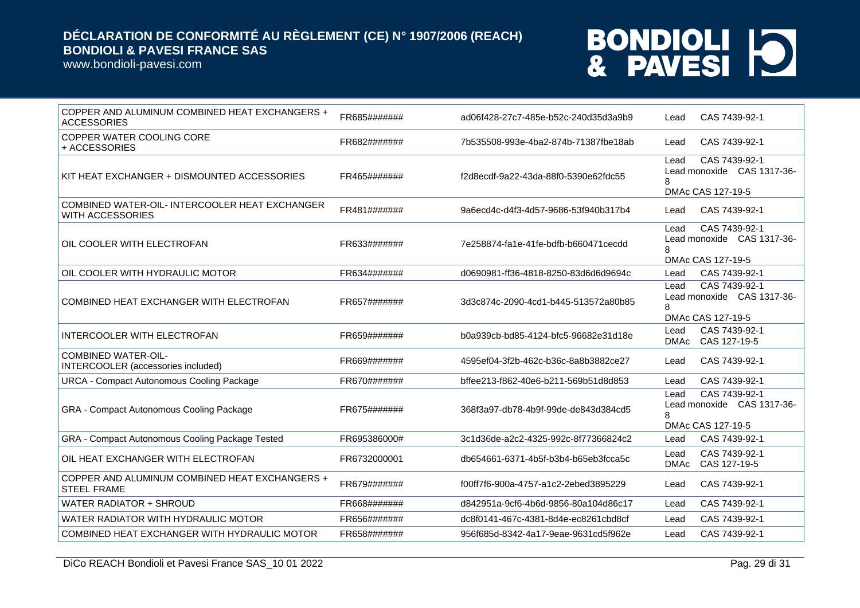www.bondioli-pavesi.com

| COPPER AND ALUMINUM COMBINED HEAT EXCHANGERS +<br><b>ACCESSORIES</b>      | FR685####### | ad06f428-27c7-485e-b52c-240d35d3a9b9 | CAS 7439-92-1<br>Lead                                                         |
|---------------------------------------------------------------------------|--------------|--------------------------------------|-------------------------------------------------------------------------------|
| COPPER WATER COOLING CORE<br>+ ACCESSORIES                                | FR682####### | 7b535508-993e-4ba2-874b-71387fbe18ab | CAS 7439-92-1<br>Lead                                                         |
| KIT HEAT EXCHANGER + DISMOUNTED ACCESSORIES                               | FR465####### | f2d8ecdf-9a22-43da-88f0-5390e62fdc55 | CAS 7439-92-1<br>Lead<br>Lead monoxide CAS 1317-36-<br>8<br>DMAc CAS 127-19-5 |
| COMBINED WATER-OIL- INTERCOOLER HEAT EXCHANGER<br><b>WITH ACCESSORIES</b> | FR481####### | 9a6ecd4c-d4f3-4d57-9686-53f940b317b4 | CAS 7439-92-1<br>Lead                                                         |
| OIL COOLER WITH ELECTROFAN                                                | FR633####### | 7e258874-fa1e-41fe-bdfb-b660471cecdd | CAS 7439-92-1<br>Lead<br>Lead monoxide CAS 1317-36-<br>8<br>DMAc CAS 127-19-5 |
| OIL COOLER WITH HYDRAULIC MOTOR                                           | FR634####### | d0690981-ff36-4818-8250-83d6d6d9694c | CAS 7439-92-1<br>Lead                                                         |
| COMBINED HEAT EXCHANGER WITH ELECTROFAN                                   | FR657####### | 3d3c874c-2090-4cd1-b445-513572a80b85 | CAS 7439-92-1<br>Lead<br>Lead monoxide CAS 1317-36-<br>8<br>DMAc CAS 127-19-5 |
| <b>INTERCOOLER WITH ELECTROFAN</b>                                        | FR659####### | b0a939cb-bd85-4124-bfc5-96682e31d18e | CAS 7439-92-1<br>Lead<br>CAS 127-19-5<br>DMAc                                 |
| <b>COMBINED WATER-OIL-</b><br>INTERCOOLER (accessories included)          | FR669####### | 4595ef04-3f2b-462c-b36c-8a8b3882ce27 | CAS 7439-92-1<br>Lead                                                         |
| <b>URCA - Compact Autonomous Cooling Package</b>                          | FR670####### | bffee213-f862-40e6-b211-569b51d8d853 | CAS 7439-92-1<br>Lead                                                         |
| GRA - Compact Autonomous Cooling Package                                  | FR675####### | 368f3a97-db78-4b9f-99de-de843d384cd5 | CAS 7439-92-1<br>Lead<br>Lead monoxide CAS 1317-36-<br>DMAc CAS 127-19-5      |
| GRA - Compact Autonomous Cooling Package Tested                           | FR695386000# | 3c1d36de-a2c2-4325-992c-8f77366824c2 | CAS 7439-92-1<br>Lead                                                         |
| OIL HEAT EXCHANGER WITH ELECTROFAN                                        | FR6732000001 | db654661-6371-4b5f-b3b4-b65eb3fcca5c | CAS 7439-92-1<br>Lead<br>DMAc<br>CAS 127-19-5                                 |
| COPPER AND ALUMINUM COMBINED HEAT EXCHANGERS +<br><b>STEEL FRAME</b>      | FR679####### | f00ff7f6-900a-4757-a1c2-2ebed3895229 | CAS 7439-92-1<br>Lead                                                         |
| <b>WATER RADIATOR + SHROUD</b>                                            | FR668####### | d842951a-9cf6-4b6d-9856-80a104d86c17 | CAS 7439-92-1<br>Lead                                                         |
| WATER RADIATOR WITH HYDRAULIC MOTOR                                       | FR656####### | dc8f0141-467c-4381-8d4e-ec8261cbd8cf | CAS 7439-92-1<br>Lead                                                         |
| COMBINED HEAT EXCHANGER WITH HYDRAULIC MOTOR                              | FR658####### | 956f685d-8342-4a17-9eae-9631cd5f962e | CAS 7439-92-1<br>Lead                                                         |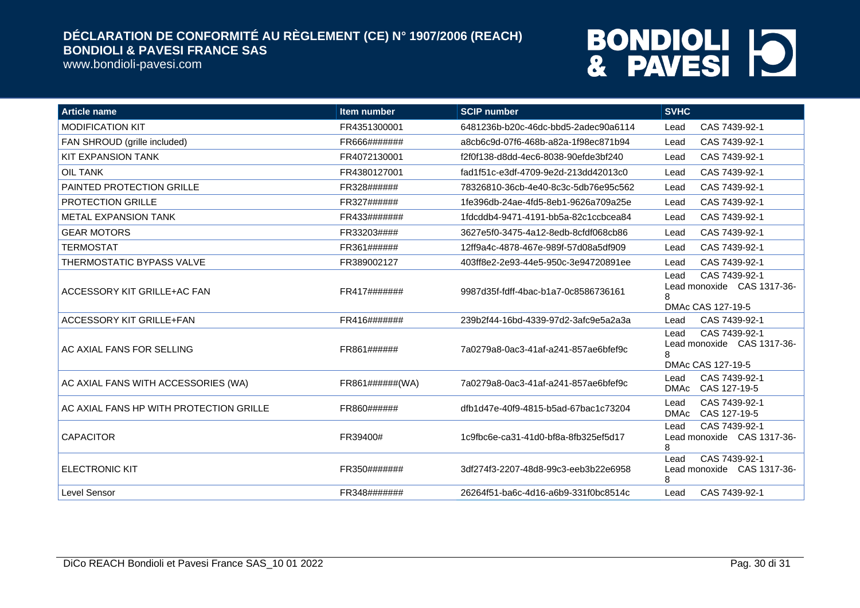www.bondioli-pavesi.com

| <b>Article name</b>                     | <b>Item number</b> | <b>SCIP number</b>                   | <b>SVHC</b>                                                                   |
|-----------------------------------------|--------------------|--------------------------------------|-------------------------------------------------------------------------------|
| <b>MODIFICATION KIT</b>                 | FR4351300001       | 6481236b-b20c-46dc-bbd5-2adec90a6114 | CAS 7439-92-1<br>Lead                                                         |
| FAN SHROUD (grille included)            | FR666#######       | a8cb6c9d-07f6-468b-a82a-1f98ec871b94 | CAS 7439-92-1<br>Lead                                                         |
| <b>KIT EXPANSION TANK</b>               | FR4072130001       | f2f0f138-d8dd-4ec6-8038-90efde3bf240 | CAS 7439-92-1<br>Lead                                                         |
| <b>OIL TANK</b>                         | FR4380127001       | fad1f51c-e3df-4709-9e2d-213dd42013c0 | CAS 7439-92-1<br>Lead                                                         |
| PAINTED PROTECTION GRILLE               | FR328######        | 78326810-36cb-4e40-8c3c-5db76e95c562 | CAS 7439-92-1<br>Lead                                                         |
| <b>PROTECTION GRILLE</b>                | FR327######        | 1fe396db-24ae-4fd5-8eb1-9626a709a25e | CAS 7439-92-1<br>Lead                                                         |
| <b>METAL EXPANSION TANK</b>             | FR433#######       | 1fdcddb4-9471-4191-bb5a-82c1ccbcea84 | CAS 7439-92-1<br>Lead                                                         |
| <b>GEAR MOTORS</b>                      | FR33203####        | 3627e5f0-3475-4a12-8edb-8cfdf068cb86 | CAS 7439-92-1<br>Lead                                                         |
| <b>TERMOSTAT</b>                        | FR361######        | 12ff9a4c-4878-467e-989f-57d08a5df909 | CAS 7439-92-1<br>Lead                                                         |
| <b>THERMOSTATIC BYPASS VALVE</b>        | FR389002127        | 403ff8e2-2e93-44e5-950c-3e94720891ee | CAS 7439-92-1<br>Lead                                                         |
| ACCESSORY KIT GRILLE+AC FAN             | FR417#######       | 9987d35f-fdff-4bac-b1a7-0c8586736161 | CAS 7439-92-1<br>Lead<br>Lead monoxide CAS 1317-36-<br>8<br>DMAc CAS 127-19-5 |
| ACCESSORY KIT GRILLE+FAN                | FR416#######       | 239b2f44-16bd-4339-97d2-3afc9e5a2a3a | CAS 7439-92-1<br>Lead                                                         |
| AC AXIAL FANS FOR SELLING               | FR861######        | 7a0279a8-0ac3-41af-a241-857ae6bfef9c | CAS 7439-92-1<br>Lead<br>Lead monoxide CAS 1317-36-<br>8<br>DMAc CAS 127-19-5 |
| AC AXIAL FANS WITH ACCESSORIES (WA)     | FR861######(WA)    | 7a0279a8-0ac3-41af-a241-857ae6bfef9c | CAS 7439-92-1<br>Lead<br>DMAc CAS 127-19-5                                    |
| AC AXIAL FANS HP WITH PROTECTION GRILLE | FR860######        | dfb1d47e-40f9-4815-b5ad-67bac1c73204 | CAS 7439-92-1<br>Lead<br><b>DMAc</b><br>CAS 127-19-5                          |
| <b>CAPACITOR</b>                        | FR39400#           | 1c9fbc6e-ca31-41d0-bf8a-8fb325ef5d17 | CAS 7439-92-1<br>Lead<br>Lead monoxide CAS 1317-36-<br>8                      |
| <b>ELECTRONIC KIT</b>                   | FR350#######       | 3df274f3-2207-48d8-99c3-eeb3b22e6958 | CAS 7439-92-1<br>Lead<br>Lead monoxide CAS 1317-36-<br>8                      |
| Level Sensor                            | FR348#######       | 26264f51-ba6c-4d16-a6b9-331f0bc8514c | CAS 7439-92-1<br>Lead                                                         |